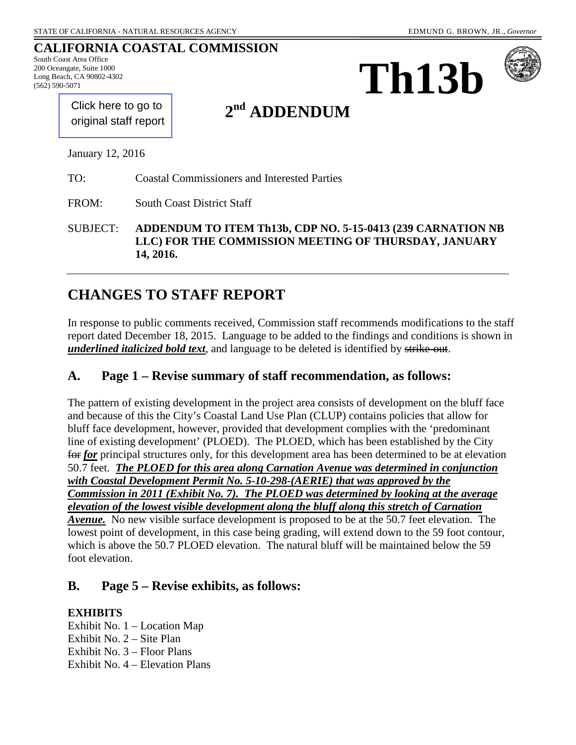## **CALIFORNIA COASTAL COMMISSION**

South Coast Area Office 200 Oceangate, Suite 1000 Long Beach, CA 90802-4302 (562) 590-5071





[Click here to go to](#page-9-0)  original staff report

# **2nd ADDENDUM**

January 12, 2016

TO: Coastal Commissioners and Interested Parties

FROM: South Coast District Staff

SUBJECT: **ADDENDUM TO ITEM Th13b, CDP NO. 5-15-0413 (239 CARNATION NB LLC) FOR THE COMMISSION MEETING OF THURSDAY, JANUARY 14, 2016.** 

# **CHANGES TO STAFF REPORT**

In response to public comments received, Commission staff recommends modifications to the staff report dated December 18, 2015. Language to be added to the findings and conditions is shown in *underlined italicized bold text*, and language to be deleted is identified by strike-out.

#### **A. Page 1 – Revise summary of staff recommendation, as follows:**

The pattern of existing development in the project area consists of development on the bluff face and because of this the City's Coastal Land Use Plan (CLUP) contains policies that allow for bluff face development, however, provided that development complies with the 'predominant line of existing development' (PLOED). The PLOED, which has been established by the City for *for* principal structures only, for this development area has been determined to be at elevation 50.7 feet. *The PLOED for this area along Carnation Avenue was determined in conjunction with Coastal Development Permit No. 5-10-298-(AERIE) that was approved by the Commission in 2011 (Exhibit No. 7). The PLOED was determined by looking at the average elevation of the lowest visible development along the bluff along this stretch of Carnation Avenue.* No new visible surface development is proposed to be at the 50.7 feet elevation. The lowest point of development, in this case being grading, will extend down to the 59 foot contour, which is above the 50.7 PLOED elevation. The natural bluff will be maintained below the 59 foot elevation.

## **B. Page 5 – Revise exhibits, as follows:**

#### **EXHIBITS**

Exhibit No. 1 – Location Map Exhibit No.  $2 -$  Site Plan Exhibit No. 3 – Floor Plans Exhibit No. 4 – Elevation Plans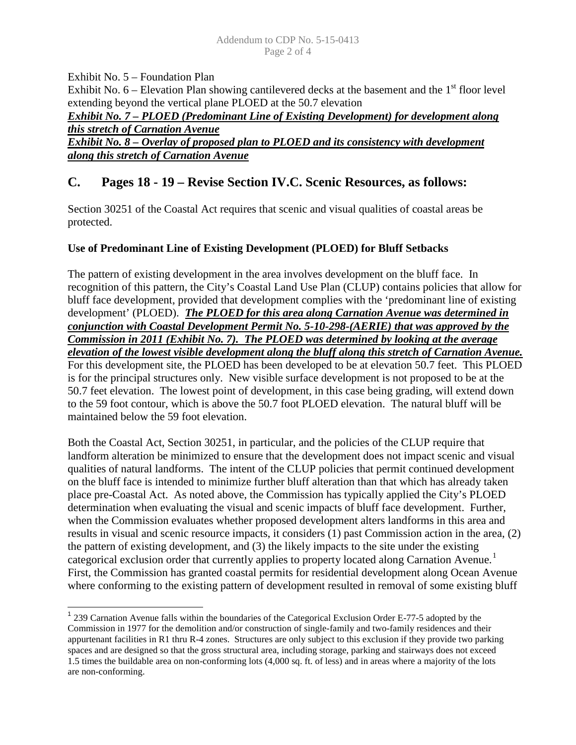Exhibit No. 5 – Foundation Plan Exhibit No.  $6$  – Elevation Plan showing cantilevered decks at the basement and the  $1<sup>st</sup>$  floor level extending beyond the vertical plane PLOED at the 50.7 elevation *Exhibit No. 7 – PLOED (Predominant Line of Existing Development) for development along this stretch of Carnation Avenue Exhibit No. 8 – Overlay of proposed plan to PLOED and its consistency with development along this stretch of Carnation Avenue* 

# **C. Pages 18 - 19 – Revise Section IV.C. Scenic Resources, as follows:**

Section 30251 of the Coastal Act requires that scenic and visual qualities of coastal areas be protected.

#### **Use of Predominant Line of Existing Development (PLOED) for Bluff Setbacks**

The pattern of existing development in the area involves development on the bluff face. In recognition of this pattern, the City's Coastal Land Use Plan (CLUP) contains policies that allow for bluff face development, provided that development complies with the 'predominant line of existing development' (PLOED). *The PLOED for this area along Carnation Avenue was determined in conjunction with Coastal Development Permit No. 5-10-298-(AERIE) that was approved by the Commission in 2011 (Exhibit No. 7). The PLOED was determined by looking at the average elevation of the lowest visible development along the bluff along this stretch of Carnation Avenue.* For this development site, the PLOED has been developed to be at elevation 50.7 feet. This PLOED is for the principal structures only. New visible surface development is not proposed to be at the 50.7 feet elevation. The lowest point of development, in this case being grading, will extend down to the 59 foot contour, which is above the 50.7 foot PLOED elevation. The natural bluff will be maintained below the 59 foot elevation.

Both the Coastal Act, Section 30251, in particular, and the policies of the CLUP require that landform alteration be minimized to ensure that the development does not impact scenic and visual qualities of natural landforms. The intent of the CLUP policies that permit continued development on the bluff face is intended to minimize further bluff alteration than that which has already taken place pre-Coastal Act. As noted above, the Commission has typically applied the City's PLOED determination when evaluating the visual and scenic impacts of bluff face development. Further, when the Commission evaluates whether proposed development alters landforms in this area and results in visual and scenic resource impacts, it considers (1) past Commission action in the area, (2) the pattern of existing development, and (3) the likely impacts to the site under the existing categorical exclusion order that currently applies to property located along Carnation Avenue.<sup>[1](#page-1-0)</sup> First, the Commission has granted coastal permits for residential development along Ocean Avenue where conforming to the existing pattern of development resulted in removal of some existing bluff

<span id="page-1-0"></span>  $1$  239 Carnation Avenue falls within the boundaries of the Categorical Exclusion Order E-77-5 adopted by the Commission in 1977 for the demolition and/or construction of single-family and two-family residences and their appurtenant facilities in R1 thru R-4 zones. Structures are only subject to this exclusion if they provide two parking spaces and are designed so that the gross structural area, including storage, parking and stairways does not exceed 1.5 times the buildable area on non-conforming lots (4,000 sq. ft. of less) and in areas where a majority of the lots are non-conforming.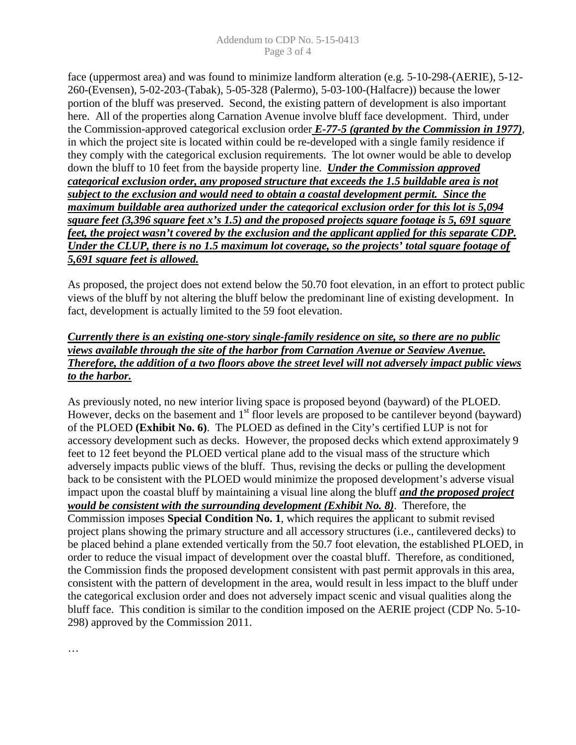face (uppermost area) and was found to minimize landform alteration (e.g. 5-10-298-(AERIE), 5-12- 260-(Evensen), 5-02-203-(Tabak), 5-05-328 (Palermo), 5-03-100-(Halfacre)) because the lower portion of the bluff was preserved. Second, the existing pattern of development is also important here. All of the properties along Carnation Avenue involve bluff face development. Third, under the Commission-approved categorical exclusion order *E-77-5 (granted by the Commission in 1977)*, in which the project site is located within could be re-developed with a single family residence if they comply with the categorical exclusion requirements. The lot owner would be able to develop down the bluff to 10 feet from the bayside property line. *Under the Commission approved categorical exclusion order, any proposed structure that exceeds the 1.5 buildable area is not subject to the exclusion and would need to obtain a coastal development permit. Since the maximum buildable area authorized under the categorical exclusion order for this lot is 5,094 square feet (3,396 square feet x's 1.5) and the proposed projects square footage is 5, 691 square feet, the project wasn't covered by the exclusion and the applicant applied for this separate CDP. Under the CLUP, there is no 1.5 maximum lot coverage, so the projects' total square footage of 5,691 square feet is allowed.* 

As proposed, the project does not extend below the 50.70 foot elevation, in an effort to protect public views of the bluff by not altering the bluff below the predominant line of existing development. In fact, development is actually limited to the 59 foot elevation.

#### *Currently there is an existing one-story single-family residence on site, so there are no public views available through the site of the harbor from Carnation Avenue or Seaview Avenue. Therefore, the addition of a two floors above the street level will not adversely impact public views to the harbor.*

As previously noted, no new interior living space is proposed beyond (bayward) of the PLOED. However, decks on the basement and  $1<sup>st</sup>$  floor levels are proposed to be cantilever beyond (bayward) of the PLOED **(Exhibit No. 6)**. The PLOED as defined in the City's certified LUP is not for accessory development such as decks. However, the proposed decks which extend approximately 9 feet to 12 feet beyond the PLOED vertical plane add to the visual mass of the structure which adversely impacts public views of the bluff. Thus, revising the decks or pulling the development back to be consistent with the PLOED would minimize the proposed development's adverse visual impact upon the coastal bluff by maintaining a visual line along the bluff *and the proposed project would be consistent with the surrounding development (Exhibit No. 8)*. Therefore, the Commission imposes **Special Condition No. 1**, which requires the applicant to submit revised project plans showing the primary structure and all accessory structures (i.e., cantilevered decks) to be placed behind a plane extended vertically from the 50.7 foot elevation, the established PLOED, in order to reduce the visual impact of development over the coastal bluff. Therefore, as conditioned, the Commission finds the proposed development consistent with past permit approvals in this area, consistent with the pattern of development in the area, would result in less impact to the bluff under the categorical exclusion order and does not adversely impact scenic and visual qualities along the bluff face. This condition is similar to the condition imposed on the AERIE project (CDP No. 5-10- 298) approved by the Commission 2011.

…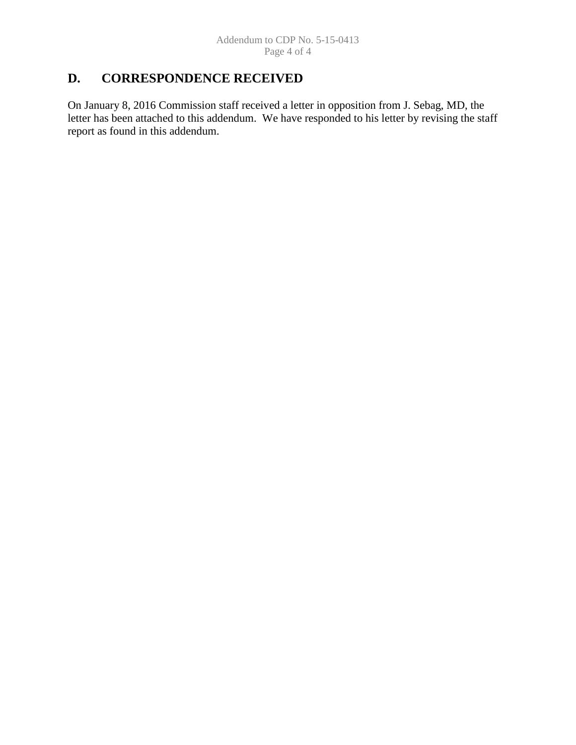# **D. CORRESPONDENCE RECEIVED**

On January 8, 2016 Commission staff received a letter in opposition from J. Sebag, MD, the letter has been attached to this addendum. We have responded to his letter by revising the staff report as found in this addendum.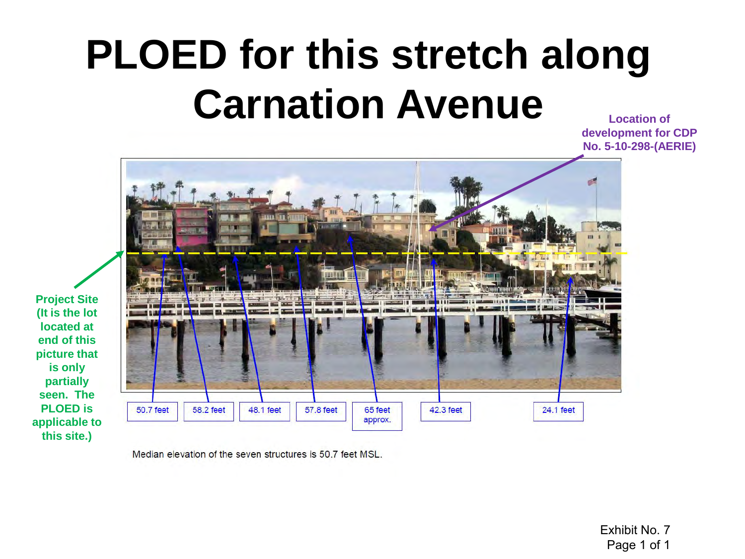# **PLOED for this stretch along Carnation Avenue**

**Location of development for CDP No. 5-10-298-(AERIE)** 



Median elevation of the seven structures is 50.7 feet MSL.

Exhibit No. 7 Page 1 of 1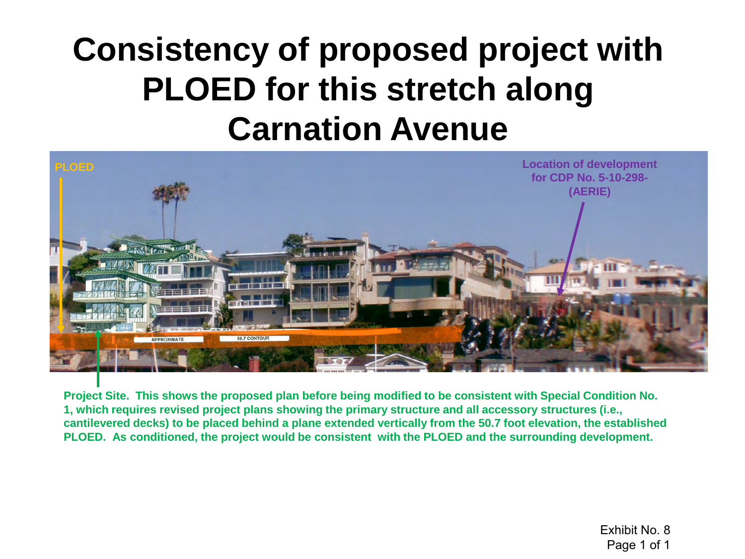# **Consistency of proposed project with PLOED for this stretch along Carnation Avenue**



**Project Site. This shows the proposed plan before being modified to be consistent with Special Condition No. 1, which requires revised project plans showing the primary structure and all accessory structures (i.e., cantilevered decks) to be placed behind a plane extended vertically from the 50.7 foot elevation, the established PLOED. As conditioned, the project would be consistent with the PLOED and the surrounding development.**

> Exhibit No. 8 Page 1 of 1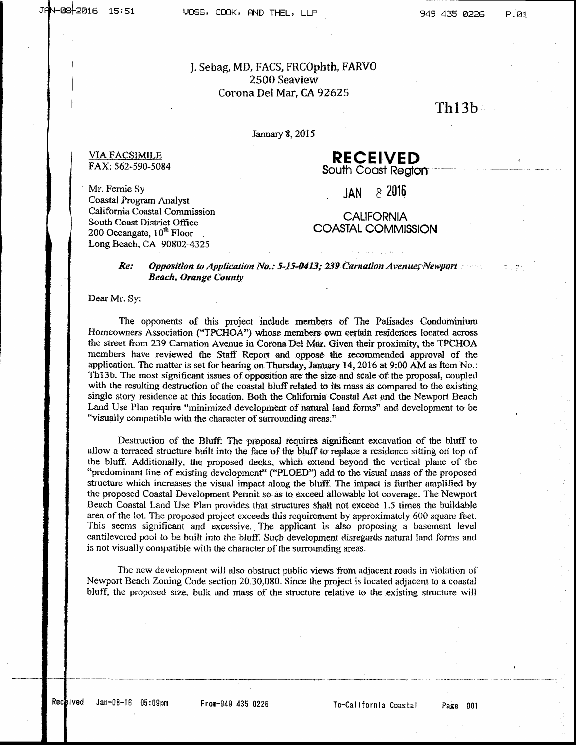#### J. Sebag, MD, FACS, FRCOphth, FARVO 2500 Seaview Corona Del Mar, CA 92625

# $Th13b$

January 8, 2015

#### **RECEIVED** South Coast Region

 $82016$ **JAN** 

Mr. Fernie Sv Coastal Program Analyst California Coastal Commission South Coast District Office 200 Oceangate, 10<sup>th</sup> Floor Long Beach, CA 90802-4325

**VIA FACSIMILE** 

FAX: 562-590-5084

#### **CALIFORNIA COASTAL COMMISSION**

#### Re: Opposition to Application No.: 5-15-0413; 239 Carnation Avenue; Newport **Beach, Orange County**

Dear Mr. Sy:

The opponents of this project include members of The Palisades Condominium Homeowners Association ("TPCHOA") whose members own certain residences located across the street from 239 Carnation Avenue in Corona Del Mar. Given their proximity, the TPCHOA members have reviewed the Staff Report and oppose the recommended approval of the application. The matter is set for hearing on Thursday, January 14, 2016 at 9:00 AM as Item No.: Th<sub>13b</sub>. The most significant issues of opposition are the size and scale of the proposal, coupled with the resulting destruction of the coastal bluff related to its mass as compared to the existing single story residence at this location. Both the California Coastal Act and the Newport Beach Land Use Plan require "minimized development of natural land forms" and development to be "visually compatible with the character of surrounding areas."

Destruction of the Bluff: The proposal requires significant excavation of the bluff to allow a terraced structure built into the face of the bluff to replace a residence sitting on top of the bluff. Additionally, the proposed decks, which extend beyond the vertical plane of the "predominant line of existing development" ("PLOED") add to the visual mass of the proposed structure which increases the visual impact along the bluff. The impact is further amplified by the proposed Coastal Development Permit so as to exceed allowable lot coverage. The Newport Beach Coastal Land Use Plan provides that structures shall not exceed 1.5 times the buildable area of the lot. The proposed project exceeds this requirement by approximately 600 square feet. This seems significant and excessive. The applicant is also proposing a basement level cantilevered pool to be built into the bluff. Such development disregards natural land forms and is not visually compatible with the character of the surrounding areas.

The new development will also obstruct public views from adjacent roads in violation of Newport Beach Zoning Code section 20.30.080. Since the project is located adjacent to a coastal bluff, the proposed size, bulk and mass of the structure relative to the existing structure will

To-California Coastal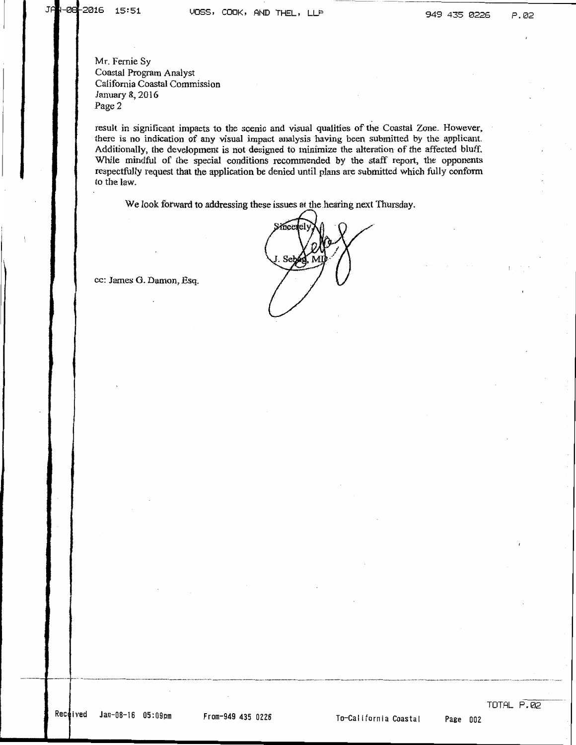Mr. Fernie Sy Coastal Program Analyst California Coastal Commission January 8, 2016 Page 2

result in significant impacts to the scenic and visual qualities of the Coastal Zone. However, there is no indication of any visual impact analysis having been submitted by the applicant. Additionally, the development is not designed to minimize the alteration of the affected bluff. While mindful of the special conditions recommended by the staff report, the opponents respectfully request that the application be denied until plans are submitted which fully conform to the law.

We look forward to addressing these issues at the hearing next Thursday.

cc: James G. Damon, Esq.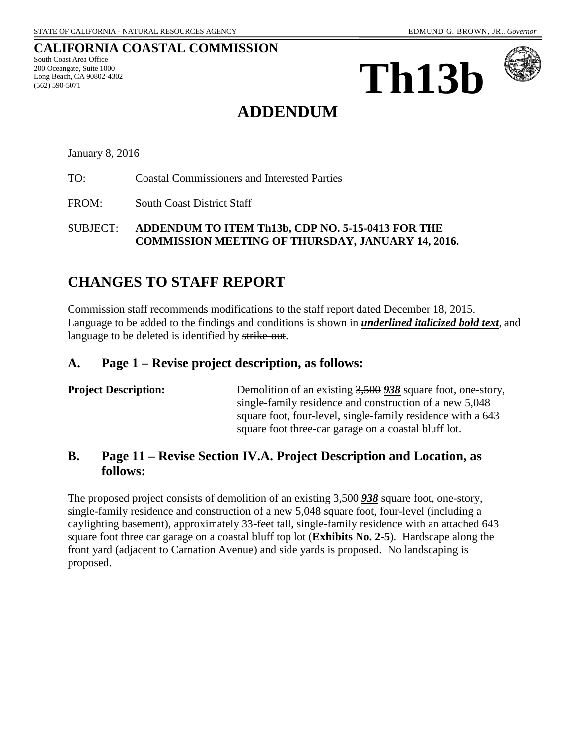#### **CALIFORNIA COASTAL COMMISSION**

South Coast Area Office 200 Oceangate, Suite 1000 Long Beach, CA 90802-4302 (562) 590-5071





# **ADDENDUM**

January 8, 2016

TO: Coastal Commissioners and Interested Parties

FROM: South Coast District Staff

SUBJECT: **ADDENDUM TO ITEM Th13b, CDP NO. 5-15-0413 FOR THE COMMISSION MEETING OF THURSDAY, JANUARY 14, 2016.** 

# **CHANGES TO STAFF REPORT**

Commission staff recommends modifications to the staff report dated December 18, 2015. Language to be added to the findings and conditions is shown in *underlined italicized bold text*, and language to be deleted is identified by strike-out.

### **A. Page 1 – Revise project description, as follows:**

| Demolition of an existing 3,500 938 square foot, one-story, |
|-------------------------------------------------------------|
| single-family residence and construction of a new 5,048     |
| square foot, four-level, single-family residence with a 643 |
| square foot three-car garage on a coastal bluff lot.        |
|                                                             |

# **B. Page 11 – Revise Section IV.A. Project Description and Location, as follows:**

The proposed project consists of demolition of an existing 3,500 *938* square foot, one-story, single-family residence and construction of a new 5,048 square foot, four-level (including a daylighting basement), approximately 33-feet tall, single-family residence with an attached 643 square foot three car garage on a coastal bluff top lot (**Exhibits No. 2-5**). Hardscape along the front yard (adjacent to Carnation Avenue) and side yards is proposed. No landscaping is proposed.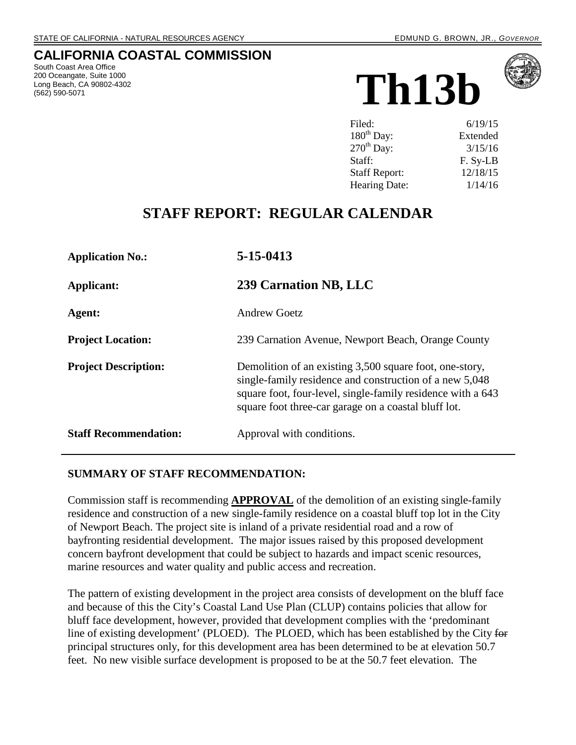# <span id="page-9-0"></span>**CALIFORNIA COASTAL COMMISSION**

South Coast Area Office 200 Oceangate, Suite 1000 Long Beach, CA 90802-4302 (562) 590-5071





| Filed:                 | 6/19/15  |
|------------------------|----------|
| $180^{\text{th}}$ Day: | Extended |
| $270th$ Day:           | 3/15/16  |
| Staff:                 | F. Sy-LB |
| <b>Staff Report:</b>   | 12/18/15 |
| Hearing Date:          | 1/14/16  |

# **STAFF REPORT: REGULAR CALENDAR**

| <b>Application No.:</b>      | 5-15-0413                                                                                                                                                                                                                                 |  |
|------------------------------|-------------------------------------------------------------------------------------------------------------------------------------------------------------------------------------------------------------------------------------------|--|
| Applicant:                   | 239 Carnation NB, LLC                                                                                                                                                                                                                     |  |
| Agent:                       | <b>Andrew Goetz</b>                                                                                                                                                                                                                       |  |
| <b>Project Location:</b>     | 239 Carnation Avenue, Newport Beach, Orange County                                                                                                                                                                                        |  |
| <b>Project Description:</b>  | Demolition of an existing 3,500 square foot, one-story,<br>single-family residence and construction of a new 5,048<br>square foot, four-level, single-family residence with a 643<br>square foot three-car garage on a coastal bluff lot. |  |
| <b>Staff Recommendation:</b> | Approval with conditions.                                                                                                                                                                                                                 |  |

#### **SUMMARY OF STAFF RECOMMENDATION:**

Commission staff is recommending **APPROVAL** of the demolition of an existing single-family residence and construction of a new single-family residence on a coastal bluff top lot in the City of Newport Beach. The project site is inland of a private residential road and a row of bayfronting residential development. The major issues raised by this proposed development concern bayfront development that could be subject to hazards and impact scenic resources, marine resources and water quality and public access and recreation.

The pattern of existing development in the project area consists of development on the bluff face and because of this the City's Coastal Land Use Plan (CLUP) contains policies that allow for bluff face development, however, provided that development complies with the 'predominant line of existing development' (PLOED). The PLOED, which has been established by the City for principal structures only, for this development area has been determined to be at elevation 50.7 feet. No new visible surface development is proposed to be at the 50.7 feet elevation. The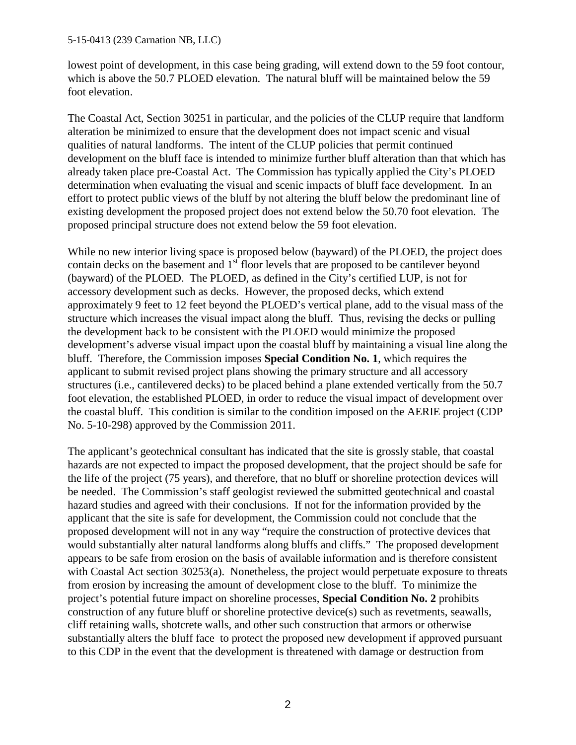lowest point of development, in this case being grading, will extend down to the 59 foot contour, which is above the 50.7 PLOED elevation. The natural bluff will be maintained below the 59 foot elevation.

The Coastal Act, Section 30251 in particular, and the policies of the CLUP require that landform alteration be minimized to ensure that the development does not impact scenic and visual qualities of natural landforms. The intent of the CLUP policies that permit continued development on the bluff face is intended to minimize further bluff alteration than that which has already taken place pre-Coastal Act. The Commission has typically applied the City's PLOED determination when evaluating the visual and scenic impacts of bluff face development. In an effort to protect public views of the bluff by not altering the bluff below the predominant line of existing development the proposed project does not extend below the 50.70 foot elevation. The proposed principal structure does not extend below the 59 foot elevation.

While no new interior living space is proposed below (bayward) of the PLOED, the project does contain decks on the basement and  $1<sup>st</sup>$  floor levels that are proposed to be cantilever beyond (bayward) of the PLOED. The PLOED, as defined in the City's certified LUP, is not for accessory development such as decks. However, the proposed decks, which extend approximately 9 feet to 12 feet beyond the PLOED's vertical plane, add to the visual mass of the structure which increases the visual impact along the bluff. Thus, revising the decks or pulling the development back to be consistent with the PLOED would minimize the proposed development's adverse visual impact upon the coastal bluff by maintaining a visual line along the bluff. Therefore, the Commission imposes **Special Condition No. 1**, which requires the applicant to submit revised project plans showing the primary structure and all accessory structures (i.e., cantilevered decks) to be placed behind a plane extended vertically from the 50.7 foot elevation, the established PLOED, in order to reduce the visual impact of development over the coastal bluff. This condition is similar to the condition imposed on the AERIE project (CDP No. 5-10-298) approved by the Commission 2011.

The applicant's geotechnical consultant has indicated that the site is grossly stable, that coastal hazards are not expected to impact the proposed development, that the project should be safe for the life of the project (75 years), and therefore, that no bluff or shoreline protection devices will be needed. The Commission's staff geologist reviewed the submitted geotechnical and coastal hazard studies and agreed with their conclusions. If not for the information provided by the applicant that the site is safe for development, the Commission could not conclude that the proposed development will not in any way "require the construction of protective devices that would substantially alter natural landforms along bluffs and cliffs." The proposed development appears to be safe from erosion on the basis of available information and is therefore consistent with Coastal Act section 30253(a). Nonetheless, the project would perpetuate exposure to threats from erosion by increasing the amount of development close to the bluff. To minimize the project's potential future impact on shoreline processes, **Special Condition No. 2** prohibits construction of any future bluff or shoreline protective device(s) such as revetments, seawalls, cliff retaining walls, shotcrete walls, and other such construction that armors or otherwise substantially alters the bluff face to protect the proposed new development if approved pursuant to this CDP in the event that the development is threatened with damage or destruction from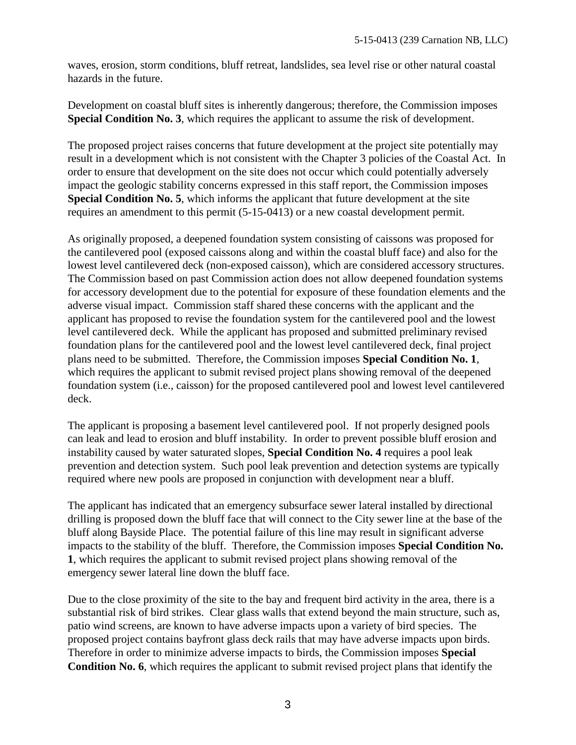waves, erosion, storm conditions, bluff retreat, landslides, sea level rise or other natural coastal hazards in the future.

Development on coastal bluff sites is inherently dangerous; therefore, the Commission imposes **Special Condition No. 3**, which requires the applicant to assume the risk of development.

The proposed project raises concerns that future development at the project site potentially may result in a development which is not consistent with the Chapter 3 policies of the Coastal Act. In order to ensure that development on the site does not occur which could potentially adversely impact the geologic stability concerns expressed in this staff report, the Commission imposes **Special Condition No. 5**, which informs the applicant that future development at the site requires an amendment to this permit (5-15-0413) or a new coastal development permit.

As originally proposed, a deepened foundation system consisting of caissons was proposed for the cantilevered pool (exposed caissons along and within the coastal bluff face) and also for the lowest level cantilevered deck (non-exposed caisson), which are considered accessory structures. The Commission based on past Commission action does not allow deepened foundation systems for accessory development due to the potential for exposure of these foundation elements and the adverse visual impact. Commission staff shared these concerns with the applicant and the applicant has proposed to revise the foundation system for the cantilevered pool and the lowest level cantilevered deck. While the applicant has proposed and submitted preliminary revised foundation plans for the cantilevered pool and the lowest level cantilevered deck, final project plans need to be submitted. Therefore, the Commission imposes **Special Condition No. 1**, which requires the applicant to submit revised project plans showing removal of the deepened foundation system (i.e., caisson) for the proposed cantilevered pool and lowest level cantilevered deck.

The applicant is proposing a basement level cantilevered pool. If not properly designed pools can leak and lead to erosion and bluff instability. In order to prevent possible bluff erosion and instability caused by water saturated slopes, **Special Condition No. 4** requires a pool leak prevention and detection system. Such pool leak prevention and detection systems are typically required where new pools are proposed in conjunction with development near a bluff.

The applicant has indicated that an emergency subsurface sewer lateral installed by directional drilling is proposed down the bluff face that will connect to the City sewer line at the base of the bluff along Bayside Place. The potential failure of this line may result in significant adverse impacts to the stability of the bluff. Therefore, the Commission imposes **Special Condition No. 1**, which requires the applicant to submit revised project plans showing removal of the emergency sewer lateral line down the bluff face.

Due to the close proximity of the site to the bay and frequent bird activity in the area, there is a substantial risk of bird strikes. Clear glass walls that extend beyond the main structure, such as, patio wind screens, are known to have adverse impacts upon a variety of bird species. The proposed project contains bayfront glass deck rails that may have adverse impacts upon birds. Therefore in order to minimize adverse impacts to birds, the Commission imposes **Special Condition No. 6**, which requires the applicant to submit revised project plans that identify the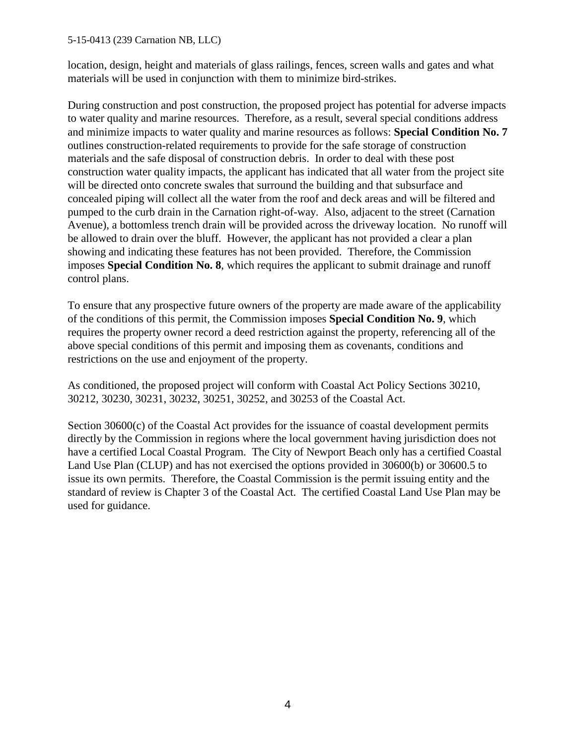#### 5-15-0413 (239 Carnation NB, LLC)

location, design, height and materials of glass railings, fences, screen walls and gates and what materials will be used in conjunction with them to minimize bird-strikes.

During construction and post construction, the proposed project has potential for adverse impacts to water quality and marine resources. Therefore, as a result, several special conditions address and minimize impacts to water quality and marine resources as follows: **Special Condition No. 7** outlines construction-related requirements to provide for the safe storage of construction materials and the safe disposal of construction debris. In order to deal with these post construction water quality impacts, the applicant has indicated that all water from the project site will be directed onto concrete swales that surround the building and that subsurface and concealed piping will collect all the water from the roof and deck areas and will be filtered and pumped to the curb drain in the Carnation right-of-way. Also, adjacent to the street (Carnation Avenue), a bottomless trench drain will be provided across the driveway location. No runoff will be allowed to drain over the bluff. However, the applicant has not provided a clear a plan showing and indicating these features has not been provided. Therefore, the Commission imposes **Special Condition No. 8**, which requires the applicant to submit drainage and runoff control plans.

To ensure that any prospective future owners of the property are made aware of the applicability of the conditions of this permit, the Commission imposes **Special Condition No. 9**, which requires the property owner record a deed restriction against the property, referencing all of the above special conditions of this permit and imposing them as covenants, conditions and restrictions on the use and enjoyment of the property.

As conditioned, the proposed project will conform with Coastal Act Policy Sections 30210, 30212, 30230, 30231, 30232, 30251, 30252, and 30253 of the Coastal Act.

Section 30600(c) of the Coastal Act provides for the issuance of coastal development permits directly by the Commission in regions where the local government having jurisdiction does not have a certified Local Coastal Program. The City of Newport Beach only has a certified Coastal Land Use Plan (CLUP) and has not exercised the options provided in 30600(b) or 30600.5 to issue its own permits. Therefore, the Coastal Commission is the permit issuing entity and the standard of review is Chapter 3 of the Coastal Act. The certified Coastal Land Use Plan may be used for guidance.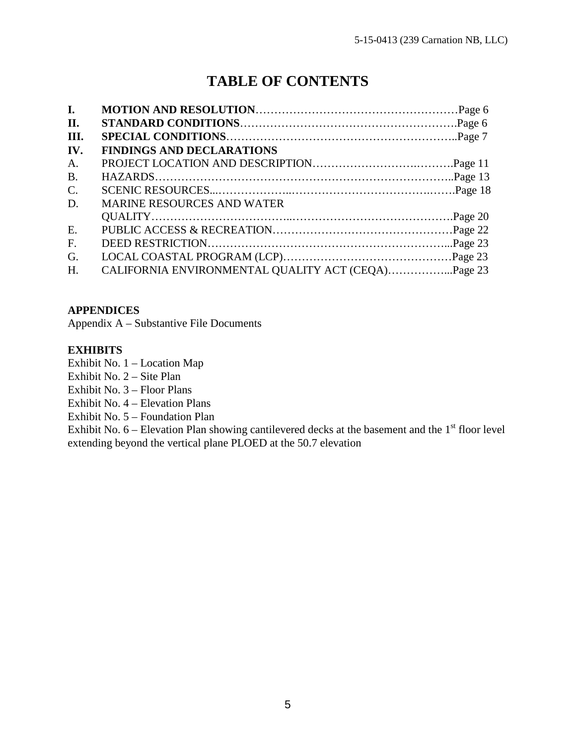# **TABLE OF CONTENTS**

| $\mathbf{I}$ . |                                   |  |
|----------------|-----------------------------------|--|
| <b>II.</b>     |                                   |  |
| III.           |                                   |  |
| IV.            | <b>FINDINGS AND DECLARATIONS</b>  |  |
| A.             |                                   |  |
| <b>B.</b>      |                                   |  |
| $\mathbf{C}$ . |                                   |  |
| D.             | <b>MARINE RESOURCES AND WATER</b> |  |
|                |                                   |  |
| E.             |                                   |  |
| F.             |                                   |  |
| G.             |                                   |  |
| H.             |                                   |  |

#### **APPENDICES**

Appendix A – Substantive File Documents

#### **EXHIBITS**

[Exhibit No. 1 – Location Map](#page-34-0)

[Exhibit No. 2 – Site Plan](#page-35-0)

[Exhibit No. 3 – Floor Plans](#page-36-0)

[Exhibit No. 4 – Elevation Plans](#page-38-0)

[Exhibit No. 5 – Foundation Plan](#page-40-0)

Exhibit No.  $6$  – Elevation Plan showing cantilevered decks at the basement and the  $1<sup>st</sup>$  floor level extending beyond the vertical plane PLOED at the 50.7 elevation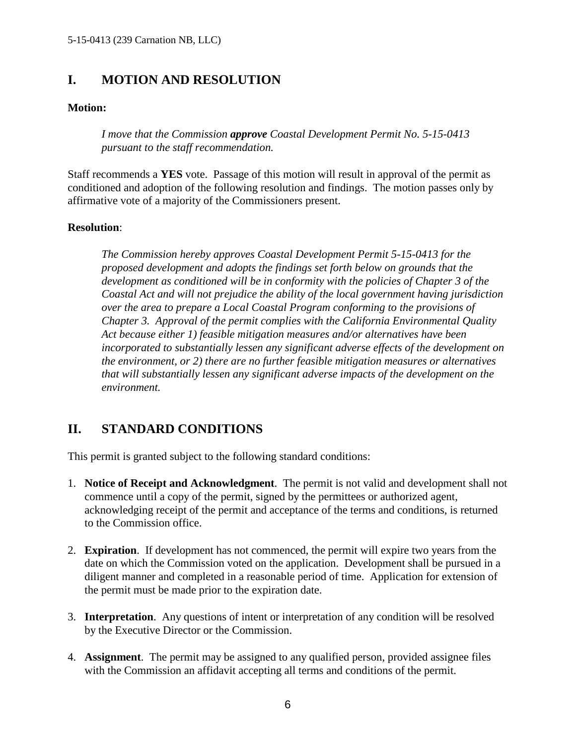# <span id="page-14-0"></span>**I. MOTION AND RESOLUTION**

#### **Motion:**

*I move that the Commission approve Coastal Development Permit No. 5-15-0413 pursuant to the staff recommendation.* 

Staff recommends a **YES** vote. Passage of this motion will result in approval of the permit as conditioned and adoption of the following resolution and findings. The motion passes only by affirmative vote of a majority of the Commissioners present.

#### **Resolution**:

*The Commission hereby approves Coastal Development Permit 5-15-0413 for the proposed development and adopts the findings set forth below on grounds that the development as conditioned will be in conformity with the policies of Chapter 3 of the Coastal Act and will not prejudice the ability of the local government having jurisdiction over the area to prepare a Local Coastal Program conforming to the provisions of Chapter 3. Approval of the permit complies with the California Environmental Quality Act because either 1) feasible mitigation measures and/or alternatives have been incorporated to substantially lessen any significant adverse effects of the development on the environment, or 2) there are no further feasible mitigation measures or alternatives that will substantially lessen any significant adverse impacts of the development on the environment.* 

# **II. STANDARD CONDITIONS**

This permit is granted subject to the following standard conditions:

- 1. **Notice of Receipt and Acknowledgment**. The permit is not valid and development shall not commence until a copy of the permit, signed by the permittees or authorized agent, acknowledging receipt of the permit and acceptance of the terms and conditions, is returned to the Commission office.
- 2. **Expiration**. If development has not commenced, the permit will expire two years from the date on which the Commission voted on the application. Development shall be pursued in a diligent manner and completed in a reasonable period of time. Application for extension of the permit must be made prior to the expiration date.
- 3. **Interpretation**. Any questions of intent or interpretation of any condition will be resolved by the Executive Director or the Commission.
- 4. **Assignment**. The permit may be assigned to any qualified person, provided assignee files with the Commission an affidavit accepting all terms and conditions of the permit.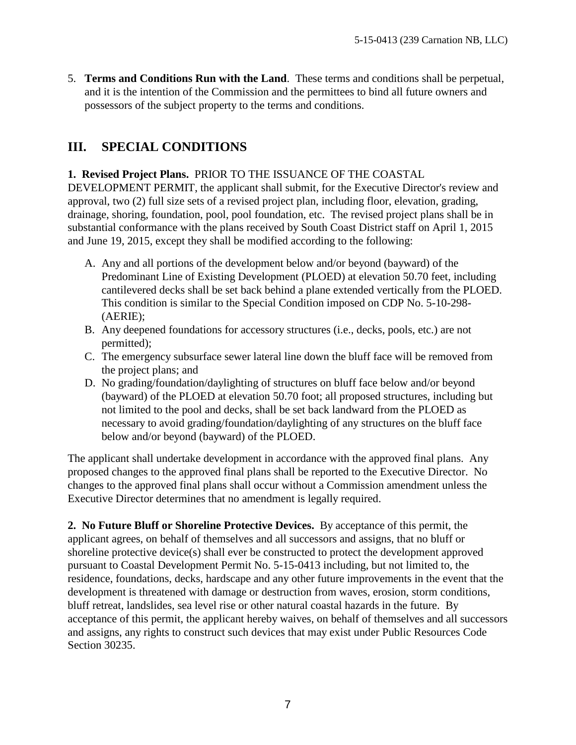<span id="page-15-0"></span>5. **Terms and Conditions Run with the Land**. These terms and conditions shall be perpetual, and it is the intention of the Commission and the permittees to bind all future owners and possessors of the subject property to the terms and conditions.

# **III. SPECIAL CONDITIONS**

#### **1. Revised Project Plans.** PRIOR TO THE ISSUANCE OF THE COASTAL

DEVELOPMENT PERMIT, the applicant shall submit, for the Executive Director's review and approval, two (2) full size sets of a revised project plan, including floor, elevation, grading, drainage, shoring, foundation, pool, pool foundation, etc. The revised project plans shall be in substantial conformance with the plans received by South Coast District staff on April 1, 2015 and June 19, 2015, except they shall be modified according to the following:

- A. Any and all portions of the development below and/or beyond (bayward) of the Predominant Line of Existing Development (PLOED) at elevation 50.70 feet, including cantilevered decks shall be set back behind a plane extended vertically from the PLOED. This condition is similar to the Special Condition imposed on CDP No. 5-10-298- (AERIE);
- B. Any deepened foundations for accessory structures (i.e., decks, pools, etc.) are not permitted);
- C. The emergency subsurface sewer lateral line down the bluff face will be removed from the project plans; and
- D. No grading/foundation/daylighting of structures on bluff face below and/or beyond (bayward) of the PLOED at elevation 50.70 foot; all proposed structures, including but not limited to the pool and decks, shall be set back landward from the PLOED as necessary to avoid grading/foundation/daylighting of any structures on the bluff face below and/or beyond (bayward) of the PLOED.

The applicant shall undertake development in accordance with the approved final plans. Any proposed changes to the approved final plans shall be reported to the Executive Director. No changes to the approved final plans shall occur without a Commission amendment unless the Executive Director determines that no amendment is legally required.

**2. No Future Bluff or Shoreline Protective Devices.** By acceptance of this permit, the applicant agrees, on behalf of themselves and all successors and assigns, that no bluff or shoreline protective device(s) shall ever be constructed to protect the development approved pursuant to Coastal Development Permit No. 5-15-0413 including, but not limited to, the residence, foundations, decks, hardscape and any other future improvements in the event that the development is threatened with damage or destruction from waves, erosion, storm conditions, bluff retreat, landslides, sea level rise or other natural coastal hazards in the future. By acceptance of this permit, the applicant hereby waives, on behalf of themselves and all successors and assigns, any rights to construct such devices that may exist under Public Resources Code Section 30235.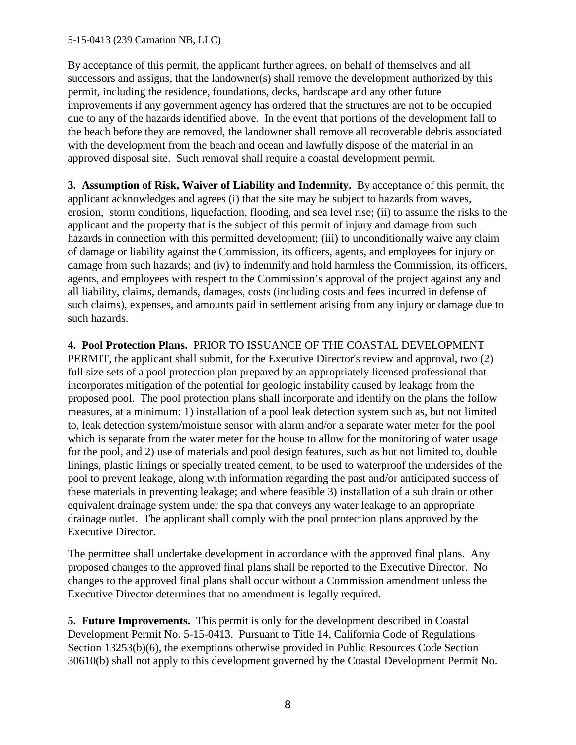#### 5-15-0413 (239 Carnation NB, LLC)

By acceptance of this permit, the applicant further agrees, on behalf of themselves and all successors and assigns, that the landowner(s) shall remove the development authorized by this permit, including the residence, foundations, decks, hardscape and any other future improvements if any government agency has ordered that the structures are not to be occupied due to any of the hazards identified above. In the event that portions of the development fall to the beach before they are removed, the landowner shall remove all recoverable debris associated with the development from the beach and ocean and lawfully dispose of the material in an approved disposal site. Such removal shall require a coastal development permit.

**3. Assumption of Risk, Waiver of Liability and Indemnity.** By acceptance of this permit, the applicant acknowledges and agrees (i) that the site may be subject to hazards from waves, erosion, storm conditions, liquefaction, flooding, and sea level rise; (ii) to assume the risks to the applicant and the property that is the subject of this permit of injury and damage from such hazards in connection with this permitted development; (iii) to unconditionally waive any claim of damage or liability against the Commission, its officers, agents, and employees for injury or damage from such hazards; and (iv) to indemnify and hold harmless the Commission, its officers, agents, and employees with respect to the Commission's approval of the project against any and all liability, claims, demands, damages, costs (including costs and fees incurred in defense of such claims), expenses, and amounts paid in settlement arising from any injury or damage due to such hazards.

**4. Pool Protection Plans.** PRIOR TO ISSUANCE OF THE COASTAL DEVELOPMENT PERMIT, the applicant shall submit, for the Executive Director's review and approval, two (2) full size sets of a pool protection plan prepared by an appropriately licensed professional that incorporates mitigation of the potential for geologic instability caused by leakage from the proposed pool. The pool protection plans shall incorporate and identify on the plans the follow measures, at a minimum: 1) installation of a pool leak detection system such as, but not limited to, leak detection system/moisture sensor with alarm and/or a separate water meter for the pool which is separate from the water meter for the house to allow for the monitoring of water usage for the pool, and 2) use of materials and pool design features, such as but not limited to, double linings, plastic linings or specially treated cement, to be used to waterproof the undersides of the pool to prevent leakage, along with information regarding the past and/or anticipated success of these materials in preventing leakage; and where feasible 3) installation of a sub drain or other equivalent drainage system under the spa that conveys any water leakage to an appropriate drainage outlet. The applicant shall comply with the pool protection plans approved by the Executive Director.

The permittee shall undertake development in accordance with the approved final plans. Any proposed changes to the approved final plans shall be reported to the Executive Director. No changes to the approved final plans shall occur without a Commission amendment unless the Executive Director determines that no amendment is legally required.

**5. Future Improvements.** This permit is only for the development described in Coastal Development Permit No. 5-15-0413. Pursuant to Title 14, California Code of Regulations Section 13253(b)(6), the exemptions otherwise provided in Public Resources Code Section 30610(b) shall not apply to this development governed by the Coastal Development Permit No.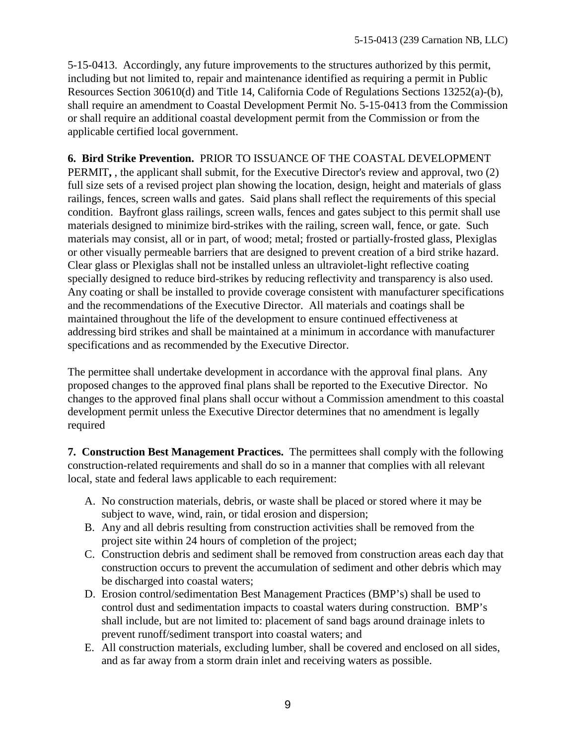5-15-0413. Accordingly, any future improvements to the structures authorized by this permit, including but not limited to, repair and maintenance identified as requiring a permit in Public Resources Section 30610(d) and Title 14, California Code of Regulations Sections 13252(a)-(b), shall require an amendment to Coastal Development Permit No. 5-15-0413 from the Commission or shall require an additional coastal development permit from the Commission or from the applicable certified local government.

**6. Bird Strike Prevention.** PRIOR TO ISSUANCE OF THE COASTAL DEVELOPMENT PERMIT**,** , the applicant shall submit, for the Executive Director's review and approval, two (2) full size sets of a revised project plan showing the location, design, height and materials of glass railings, fences, screen walls and gates. Said plans shall reflect the requirements of this special condition. Bayfront glass railings, screen walls, fences and gates subject to this permit shall use materials designed to minimize bird-strikes with the railing, screen wall, fence, or gate. Such materials may consist, all or in part, of wood; metal; frosted or partially-frosted glass, Plexiglas or other visually permeable barriers that are designed to prevent creation of a bird strike hazard. Clear glass or Plexiglas shall not be installed unless an ultraviolet-light reflective coating specially designed to reduce bird-strikes by reducing reflectivity and transparency is also used. Any coating or shall be installed to provide coverage consistent with manufacturer specifications and the recommendations of the Executive Director. All materials and coatings shall be maintained throughout the life of the development to ensure continued effectiveness at addressing bird strikes and shall be maintained at a minimum in accordance with manufacturer specifications and as recommended by the Executive Director.

The permittee shall undertake development in accordance with the approval final plans. Any proposed changes to the approved final plans shall be reported to the Executive Director. No changes to the approved final plans shall occur without a Commission amendment to this coastal development permit unless the Executive Director determines that no amendment is legally required

**7. Construction Best Management Practices.** The permittees shall comply with the following construction-related requirements and shall do so in a manner that complies with all relevant local, state and federal laws applicable to each requirement:

- A. No construction materials, debris, or waste shall be placed or stored where it may be subject to wave, wind, rain, or tidal erosion and dispersion;
- B. Any and all debris resulting from construction activities shall be removed from the project site within 24 hours of completion of the project;
- C. Construction debris and sediment shall be removed from construction areas each day that construction occurs to prevent the accumulation of sediment and other debris which may be discharged into coastal waters;
- D. Erosion control/sedimentation Best Management Practices (BMP's) shall be used to control dust and sedimentation impacts to coastal waters during construction. BMP's shall include, but are not limited to: placement of sand bags around drainage inlets to prevent runoff/sediment transport into coastal waters; and
- E. All construction materials, excluding lumber, shall be covered and enclosed on all sides, and as far away from a storm drain inlet and receiving waters as possible.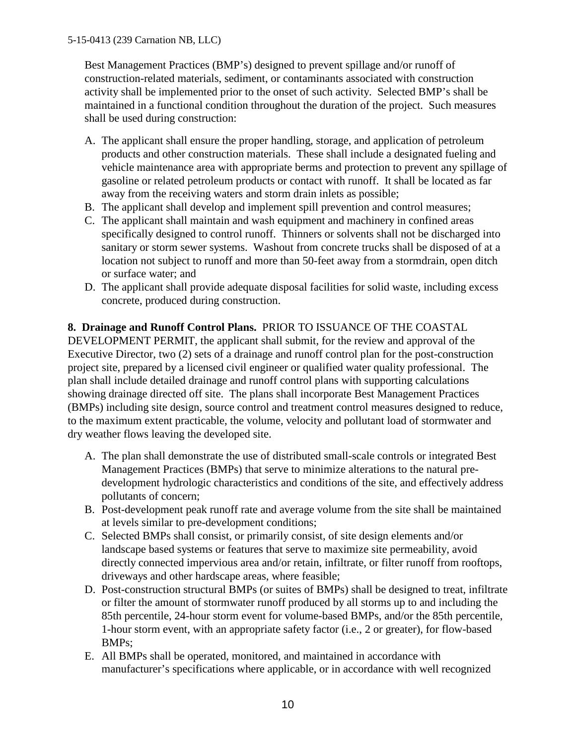Best Management Practices (BMP's) designed to prevent spillage and/or runoff of construction-related materials, sediment, or contaminants associated with construction activity shall be implemented prior to the onset of such activity. Selected BMP's shall be maintained in a functional condition throughout the duration of the project. Such measures shall be used during construction:

- A. The applicant shall ensure the proper handling, storage, and application of petroleum products and other construction materials. These shall include a designated fueling and vehicle maintenance area with appropriate berms and protection to prevent any spillage of gasoline or related petroleum products or contact with runoff. It shall be located as far away from the receiving waters and storm drain inlets as possible;
- B. The applicant shall develop and implement spill prevention and control measures;
- C. The applicant shall maintain and wash equipment and machinery in confined areas specifically designed to control runoff. Thinners or solvents shall not be discharged into sanitary or storm sewer systems. Washout from concrete trucks shall be disposed of at a location not subject to runoff and more than 50-feet away from a stormdrain, open ditch or surface water; and
- D. The applicant shall provide adequate disposal facilities for solid waste, including excess concrete, produced during construction.

# **8. Drainage and Runoff Control Plans.** PRIOR TO ISSUANCE OF THE COASTAL

DEVELOPMENT PERMIT, the applicant shall submit, for the review and approval of the Executive Director, two (2) sets of a drainage and runoff control plan for the post-construction project site, prepared by a licensed civil engineer or qualified water quality professional. The plan shall include detailed drainage and runoff control plans with supporting calculations showing drainage directed off site. The plans shall incorporate Best Management Practices (BMPs) including site design, source control and treatment control measures designed to reduce, to the maximum extent practicable, the volume, velocity and pollutant load of stormwater and dry weather flows leaving the developed site.

- A. The plan shall demonstrate the use of distributed small-scale controls or integrated Best Management Practices (BMPs) that serve to minimize alterations to the natural predevelopment hydrologic characteristics and conditions of the site, and effectively address pollutants of concern;
- B. Post-development peak runoff rate and average volume from the site shall be maintained at levels similar to pre-development conditions;
- C. Selected BMPs shall consist, or primarily consist, of site design elements and/or landscape based systems or features that serve to maximize site permeability, avoid directly connected impervious area and/or retain, infiltrate, or filter runoff from rooftops, driveways and other hardscape areas, where feasible;
- D. Post-construction structural BMPs (or suites of BMPs) shall be designed to treat, infiltrate or filter the amount of stormwater runoff produced by all storms up to and including the 85th percentile, 24-hour storm event for volume-based BMPs, and/or the 85th percentile, 1-hour storm event, with an appropriate safety factor (i.e., 2 or greater), for flow-based BMPs;
- E. All BMPs shall be operated, monitored, and maintained in accordance with manufacturer's specifications where applicable, or in accordance with well recognized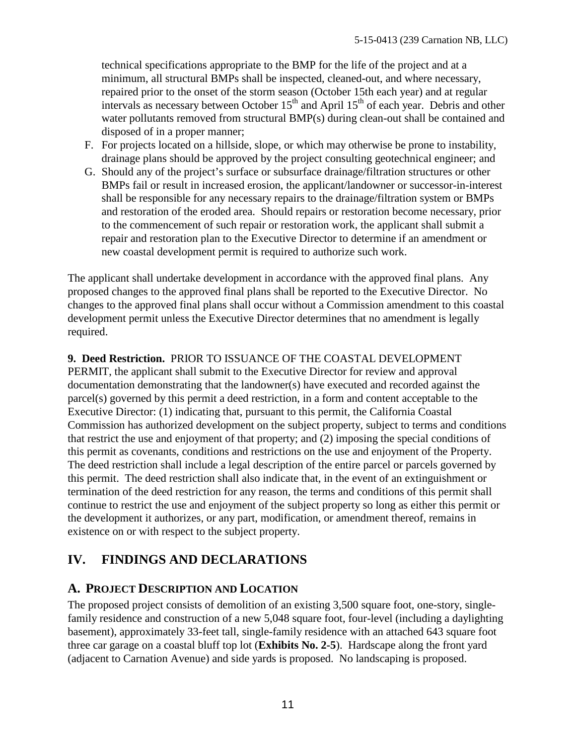<span id="page-19-0"></span>technical specifications appropriate to the BMP for the life of the project and at a minimum, all structural BMPs shall be inspected, cleaned-out, and where necessary, repaired prior to the onset of the storm season (October 15th each year) and at regular intervals as necessary between October  $15<sup>th</sup>$  and April  $15<sup>th</sup>$  of each year. Debris and other water pollutants removed from structural BMP(s) during clean-out shall be contained and disposed of in a proper manner;

- F. For projects located on a hillside, slope, or which may otherwise be prone to instability, drainage plans should be approved by the project consulting geotechnical engineer; and
- G. Should any of the project's surface or subsurface drainage/filtration structures or other BMPs fail or result in increased erosion, the applicant/landowner or successor-in-interest shall be responsible for any necessary repairs to the drainage/filtration system or BMPs and restoration of the eroded area. Should repairs or restoration become necessary, prior to the commencement of such repair or restoration work, the applicant shall submit a repair and restoration plan to the Executive Director to determine if an amendment or new coastal development permit is required to authorize such work.

The applicant shall undertake development in accordance with the approved final plans. Any proposed changes to the approved final plans shall be reported to the Executive Director. No changes to the approved final plans shall occur without a Commission amendment to this coastal development permit unless the Executive Director determines that no amendment is legally required.

## **9. Deed Restriction.** PRIOR TO ISSUANCE OF THE COASTAL DEVELOPMENT

PERMIT, the applicant shall submit to the Executive Director for review and approval documentation demonstrating that the landowner(s) have executed and recorded against the parcel(s) governed by this permit a deed restriction, in a form and content acceptable to the Executive Director: (1) indicating that, pursuant to this permit, the California Coastal Commission has authorized development on the subject property, subject to terms and conditions that restrict the use and enjoyment of that property; and (2) imposing the special conditions of this permit as covenants, conditions and restrictions on the use and enjoyment of the Property. The deed restriction shall include a legal description of the entire parcel or parcels governed by this permit. The deed restriction shall also indicate that, in the event of an extinguishment or termination of the deed restriction for any reason, the terms and conditions of this permit shall continue to restrict the use and enjoyment of the subject property so long as either this permit or the development it authorizes, or any part, modification, or amendment thereof, remains in existence on or with respect to the subject property.

# **IV. FINDINGS AND DECLARATIONS**

# **A. PROJECT DESCRIPTION AND LOCATION**

The proposed project consists of demolition of an existing 3,500 square foot, one-story, singlefamily residence and construction of a new 5,048 square foot, four-level (including a daylighting basement), approximately 33-feet tall, single-family residence with an attached 643 square foot three car garage on a coastal bluff top lot (**Exhibits No. 2-5**). Hardscape along the front yard (adjacent to Carnation Avenue) and side yards is proposed. No landscaping is proposed.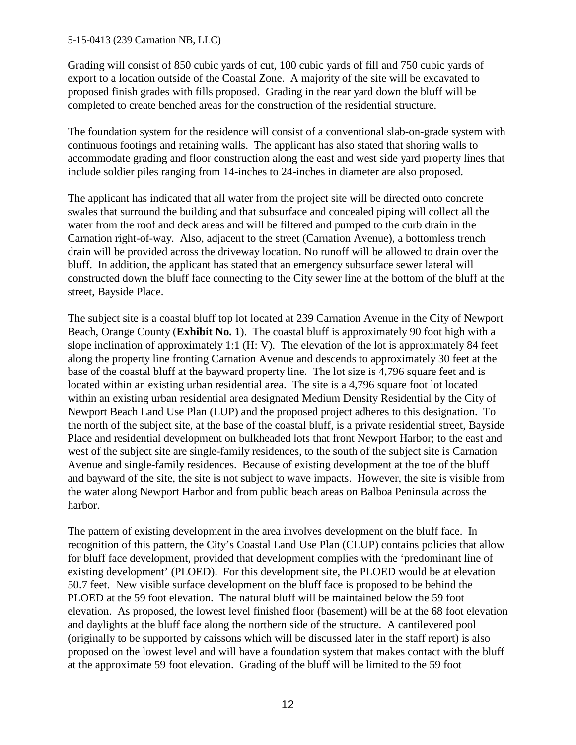#### 5-15-0413 (239 Carnation NB, LLC)

Grading will consist of 850 cubic yards of cut, 100 cubic yards of fill and 750 cubic yards of export to a location outside of the Coastal Zone. A majority of the site will be excavated to proposed finish grades with fills proposed. Grading in the rear yard down the bluff will be completed to create benched areas for the construction of the residential structure.

The foundation system for the residence will consist of a conventional slab-on-grade system with continuous footings and retaining walls. The applicant has also stated that shoring walls to accommodate grading and floor construction along the east and west side yard property lines that include soldier piles ranging from 14-inches to 24-inches in diameter are also proposed.

The applicant has indicated that all water from the project site will be directed onto concrete swales that surround the building and that subsurface and concealed piping will collect all the water from the roof and deck areas and will be filtered and pumped to the curb drain in the Carnation right-of-way. Also, adjacent to the street (Carnation Avenue), a bottomless trench drain will be provided across the driveway location. No runoff will be allowed to drain over the bluff. In addition, the applicant has stated that an emergency subsurface sewer lateral will constructed down the bluff face connecting to the City sewer line at the bottom of the bluff at the street, Bayside Place.

The subject site is a coastal bluff top lot located at 239 Carnation Avenue in the City of Newport Beach, Orange County (**Exhibit No. 1**). The coastal bluff is approximately 90 foot high with a slope inclination of approximately 1:1 (H: V). The elevation of the lot is approximately 84 feet along the property line fronting Carnation Avenue and descends to approximately 30 feet at the base of the coastal bluff at the bayward property line. The lot size is 4,796 square feet and is located within an existing urban residential area. The site is a 4,796 square foot lot located within an existing urban residential area designated Medium Density Residential by the City of Newport Beach Land Use Plan (LUP) and the proposed project adheres to this designation. To the north of the subject site, at the base of the coastal bluff, is a private residential street, Bayside Place and residential development on bulkheaded lots that front Newport Harbor; to the east and west of the subject site are single-family residences, to the south of the subject site is Carnation Avenue and single-family residences. Because of existing development at the toe of the bluff and bayward of the site, the site is not subject to wave impacts. However, the site is visible from the water along Newport Harbor and from public beach areas on Balboa Peninsula across the harbor.

The pattern of existing development in the area involves development on the bluff face. In recognition of this pattern, the City's Coastal Land Use Plan (CLUP) contains policies that allow for bluff face development, provided that development complies with the 'predominant line of existing development' (PLOED). For this development site, the PLOED would be at elevation 50.7 feet. New visible surface development on the bluff face is proposed to be behind the PLOED at the 59 foot elevation. The natural bluff will be maintained below the 59 foot elevation. As proposed, the lowest level finished floor (basement) will be at the 68 foot elevation and daylights at the bluff face along the northern side of the structure. A cantilevered pool (originally to be supported by caissons which will be discussed later in the staff report) is also proposed on the lowest level and will have a foundation system that makes contact with the bluff at the approximate 59 foot elevation. Grading of the bluff will be limited to the 59 foot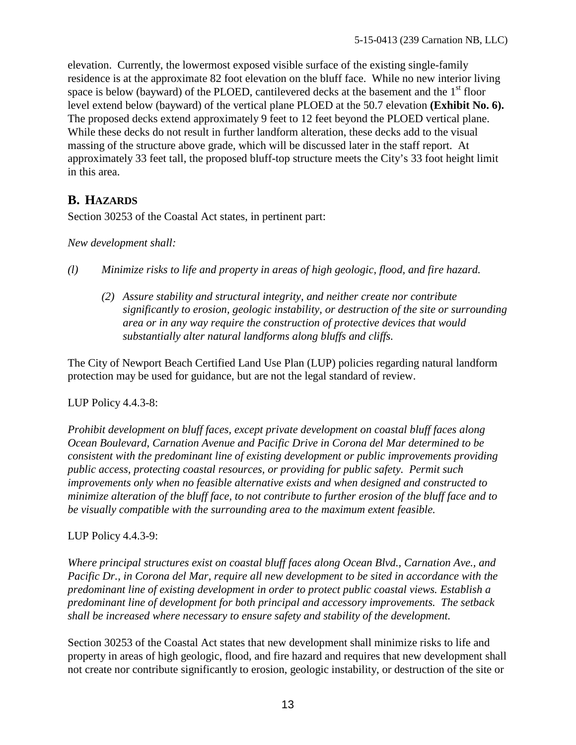<span id="page-21-0"></span>elevation. Currently, the lowermost exposed visible surface of the existing single-family residence is at the approximate 82 foot elevation on the bluff face. While no new interior living space is below (bayward) of the PLOED, cantilevered decks at the basement and the  $1<sup>st</sup>$  floor level extend below (bayward) of the vertical plane PLOED at the 50.7 elevation **(Exhibit No. 6).** The proposed decks extend approximately 9 feet to 12 feet beyond the PLOED vertical plane. While these decks do not result in further landform alteration, these decks add to the visual massing of the structure above grade, which will be discussed later in the staff report. At approximately 33 feet tall, the proposed bluff-top structure meets the City's 33 foot height limit in this area.

# **B. HAZARDS**

Section 30253 of the Coastal Act states, in pertinent part:

*New development shall:* 

- *(l) Minimize risks to life and property in areas of high geologic, flood, and fire hazard.* 
	- *(2) Assure stability and structural integrity, and neither create nor contribute significantly to erosion, geologic instability, or destruction of the site or surrounding area or in any way require the construction of protective devices that would substantially alter natural landforms along bluffs and cliffs.*

The City of Newport Beach Certified Land Use Plan (LUP) policies regarding natural landform protection may be used for guidance, but are not the legal standard of review.

## LUP Policy 4.4.3-8:

*Prohibit development on bluff faces, except private development on coastal bluff faces along Ocean Boulevard, Carnation Avenue and Pacific Drive in Corona del Mar determined to be consistent with the predominant line of existing development or public improvements providing public access, protecting coastal resources, or providing for public safety. Permit such improvements only when no feasible alternative exists and when designed and constructed to minimize alteration of the bluff face, to not contribute to further erosion of the bluff face and to be visually compatible with the surrounding area to the maximum extent feasible.* 

## LUP Policy 4.4.3-9:

*Where principal structures exist on coastal bluff faces along Ocean Blvd., Carnation Ave., and Pacific Dr., in Corona del Mar, require all new development to be sited in accordance with the predominant line of existing development in order to protect public coastal views. Establish a predominant line of development for both principal and accessory improvements. The setback shall be increased where necessary to ensure safety and stability of the development.* 

Section 30253 of the Coastal Act states that new development shall minimize risks to life and property in areas of high geologic, flood, and fire hazard and requires that new development shall not create nor contribute significantly to erosion, geologic instability, or destruction of the site or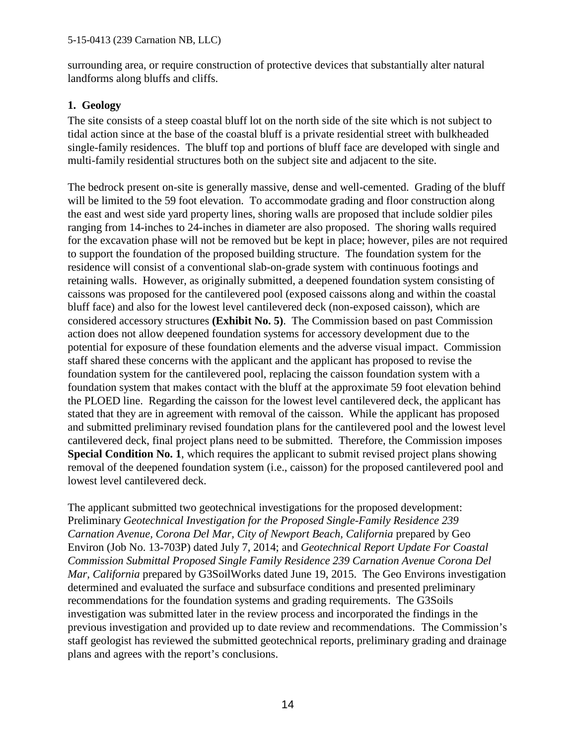surrounding area, or require construction of protective devices that substantially alter natural landforms along bluffs and cliffs.

# **1. Geology**

The site consists of a steep coastal bluff lot on the north side of the site which is not subject to tidal action since at the base of the coastal bluff is a private residential street with bulkheaded single-family residences. The bluff top and portions of bluff face are developed with single and multi-family residential structures both on the subject site and adjacent to the site.

The bedrock present on-site is generally massive, dense and well-cemented. Grading of the bluff will be limited to the 59 foot elevation. To accommodate grading and floor construction along the east and west side yard property lines, shoring walls are proposed that include soldier piles ranging from 14-inches to 24-inches in diameter are also proposed. The shoring walls required for the excavation phase will not be removed but be kept in place; however, piles are not required to support the foundation of the proposed building structure. The foundation system for the residence will consist of a conventional slab-on-grade system with continuous footings and retaining walls. However, as originally submitted, a deepened foundation system consisting of caissons was proposed for the cantilevered pool (exposed caissons along and within the coastal bluff face) and also for the lowest level cantilevered deck (non-exposed caisson), which are considered accessory structures **(Exhibit No. 5)**. The Commission based on past Commission action does not allow deepened foundation systems for accessory development due to the potential for exposure of these foundation elements and the adverse visual impact. Commission staff shared these concerns with the applicant and the applicant has proposed to revise the foundation system for the cantilevered pool, replacing the caisson foundation system with a foundation system that makes contact with the bluff at the approximate 59 foot elevation behind the PLOED line. Regarding the caisson for the lowest level cantilevered deck, the applicant has stated that they are in agreement with removal of the caisson. While the applicant has proposed and submitted preliminary revised foundation plans for the cantilevered pool and the lowest level cantilevered deck, final project plans need to be submitted. Therefore, the Commission imposes **Special Condition No. 1**, which requires the applicant to submit revised project plans showing removal of the deepened foundation system (i.e., caisson) for the proposed cantilevered pool and lowest level cantilevered deck.

The applicant submitted two geotechnical investigations for the proposed development: Preliminary *Geotechnical Investigation for the Proposed Single-Family Residence 239 Carnation Avenue, Corona Del Mar, City of Newport Beach, California* prepared by Geo Environ (Job No. 13-703P) dated July 7, 2014; and *Geotechnical Report Update For Coastal Commission Submittal Proposed Single Family Residence 239 Carnation Avenue Corona Del Mar, California* prepared by G3SoilWorks dated June 19, 2015. The Geo Environs investigation determined and evaluated the surface and subsurface conditions and presented preliminary recommendations for the foundation systems and grading requirements. The G3Soils investigation was submitted later in the review process and incorporated the findings in the previous investigation and provided up to date review and recommendations. The Commission's staff geologist has reviewed the submitted geotechnical reports, preliminary grading and drainage plans and agrees with the report's conclusions.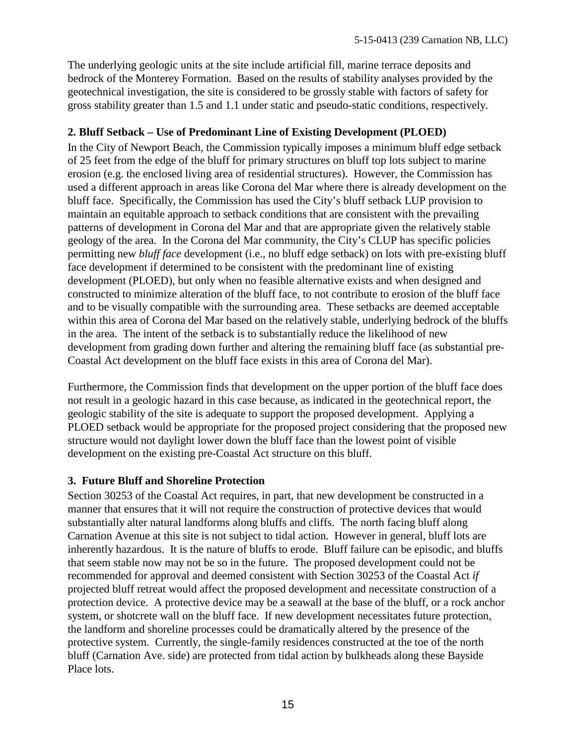The underlying geologic units at the site include artificial fill, marine terrace deposits and bedrock of the Monterey Formation. Based on the results of stability analyses provided by the geotechnical investigation, the site is considered to be grossly stable with factors of safety for gross stability greater than 1.5 and 1.1 under static and pseudo-static conditions, respectively.

#### **2. Bluff Setback – Use of Predominant Line of Existing Development (PLOED)**

In the City of Newport Beach, the Commission typically imposes a minimum bluff edge setback of 25 feet from the edge of the bluff for primary structures on bluff top lots subject to marine erosion (e.g. the enclosed living area of residential structures). However, the Commission has used a different approach in areas like Corona del Mar where there is already development on the bluff face. Specifically, the Commission has used the City's bluff setback LUP provision to maintain an equitable approach to setback conditions that are consistent with the prevailing patterns of development in Corona del Mar and that are appropriate given the relatively stable geology of the area. In the Corona del Mar community, the City's CLUP has specific policies permitting new *bluff face* development (i.e., no bluff edge setback) on lots with pre-existing bluff face development if determined to be consistent with the predominant line of existing development (PLOED), but only when no feasible alternative exists and when designed and constructed to minimize alteration of the bluff face, to not contribute to erosion of the bluff face and to be visually compatible with the surrounding area. These setbacks are deemed acceptable within this area of Corona del Mar based on the relatively stable, underlying bedrock of the bluffs in the area. The intent of the setback is to substantially reduce the likelihood of new development from grading down further and altering the remaining bluff face (as substantial pre-Coastal Act development on the bluff face exists in this area of Corona del Mar).

Furthermore, the Commission finds that development on the upper portion of the bluff face does not result in a geologic hazard in this case because, as indicated in the geotechnical report, the geologic stability of the site is adequate to support the proposed development. Applying a PLOED setback would be appropriate for the proposed project considering that the proposed new structure would not daylight lower down the bluff face than the lowest point of visible development on the existing pre-Coastal Act structure on this bluff.

#### **3. Future Bluff and Shoreline Protection**

Section 30253 of the Coastal Act requires, in part, that new development be constructed in a manner that ensures that it will not require the construction of protective devices that would substantially alter natural landforms along bluffs and cliffs. The north facing bluff along Carnation Avenue at this site is not subject to tidal action. However in general, bluff lots are inherently hazardous. It is the nature of bluffs to erode. Bluff failure can be episodic, and bluffs that seem stable now may not be so in the future. The proposed development could not be recommended for approval and deemed consistent with Section 30253 of the Coastal Act *if*  projected bluff retreat would affect the proposed development and necessitate construction of a protection device. A protective device may be a seawall at the base of the bluff, or a rock anchor system, or shotcrete wall on the bluff face. If new development necessitates future protection, the landform and shoreline processes could be dramatically altered by the presence of the protective system. Currently, the single-family residences constructed at the toe of the north bluff (Carnation Ave. side) are protected from tidal action by bulkheads along these Bayside Place lots.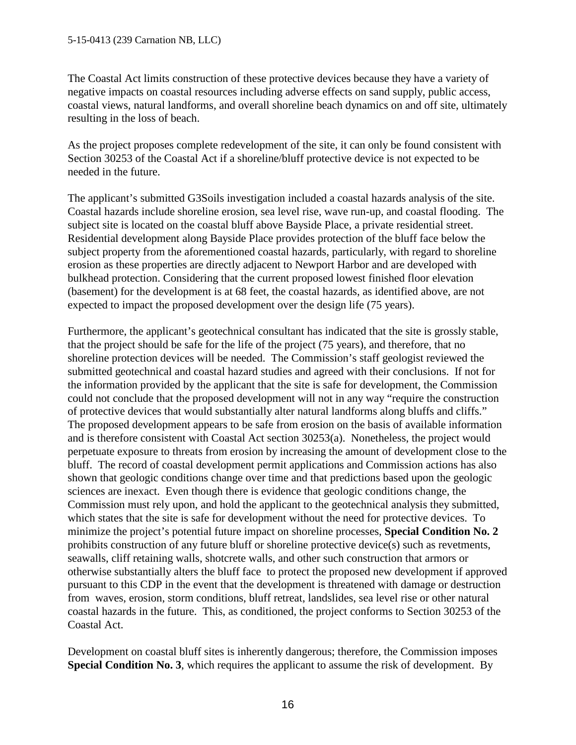The Coastal Act limits construction of these protective devices because they have a variety of negative impacts on coastal resources including adverse effects on sand supply, public access, coastal views, natural landforms, and overall shoreline beach dynamics on and off site, ultimately resulting in the loss of beach.

As the project proposes complete redevelopment of the site, it can only be found consistent with Section 30253 of the Coastal Act if a shoreline/bluff protective device is not expected to be needed in the future.

The applicant's submitted G3Soils investigation included a coastal hazards analysis of the site. Coastal hazards include shoreline erosion, sea level rise, wave run-up, and coastal flooding. The subject site is located on the coastal bluff above Bayside Place, a private residential street. Residential development along Bayside Place provides protection of the bluff face below the subject property from the aforementioned coastal hazards, particularly, with regard to shoreline erosion as these properties are directly adjacent to Newport Harbor and are developed with bulkhead protection. Considering that the current proposed lowest finished floor elevation (basement) for the development is at 68 feet, the coastal hazards, as identified above, are not expected to impact the proposed development over the design life (75 years).

Furthermore, the applicant's geotechnical consultant has indicated that the site is grossly stable, that the project should be safe for the life of the project (75 years), and therefore, that no shoreline protection devices will be needed. The Commission's staff geologist reviewed the submitted geotechnical and coastal hazard studies and agreed with their conclusions. If not for the information provided by the applicant that the site is safe for development, the Commission could not conclude that the proposed development will not in any way "require the construction of protective devices that would substantially alter natural landforms along bluffs and cliffs." The proposed development appears to be safe from erosion on the basis of available information and is therefore consistent with Coastal Act section 30253(a). Nonetheless, the project would perpetuate exposure to threats from erosion by increasing the amount of development close to the bluff. The record of coastal development permit applications and Commission actions has also shown that geologic conditions change over time and that predictions based upon the geologic sciences are inexact. Even though there is evidence that geologic conditions change, the Commission must rely upon, and hold the applicant to the geotechnical analysis they submitted, which states that the site is safe for development without the need for protective devices. To minimize the project's potential future impact on shoreline processes, **Special Condition No. 2** prohibits construction of any future bluff or shoreline protective device(s) such as revetments, seawalls, cliff retaining walls, shotcrete walls, and other such construction that armors or otherwise substantially alters the bluff face to protect the proposed new development if approved pursuant to this CDP in the event that the development is threatened with damage or destruction from waves, erosion, storm conditions, bluff retreat, landslides, sea level rise or other natural coastal hazards in the future. This, as conditioned, the project conforms to Section 30253 of the Coastal Act.

Development on coastal bluff sites is inherently dangerous; therefore, the Commission imposes **Special Condition No. 3**, which requires the applicant to assume the risk of development. By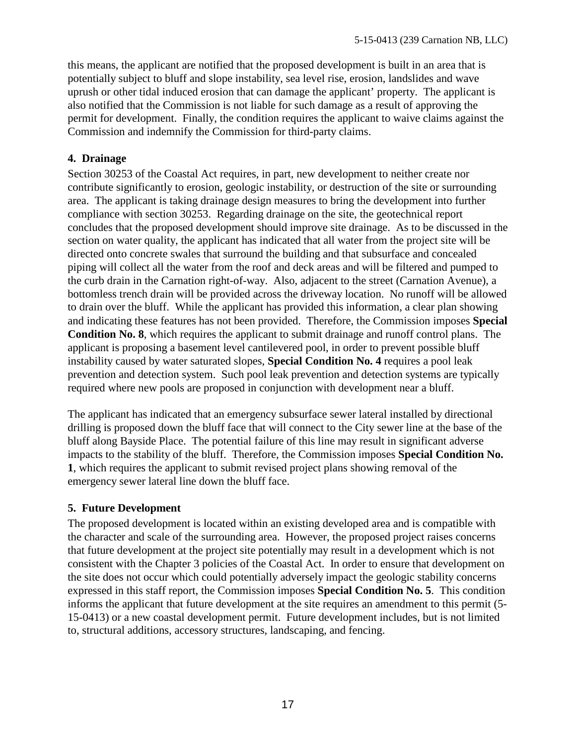this means, the applicant are notified that the proposed development is built in an area that is potentially subject to bluff and slope instability, sea level rise, erosion, landslides and wave uprush or other tidal induced erosion that can damage the applicant' property. The applicant is also notified that the Commission is not liable for such damage as a result of approving the permit for development. Finally, the condition requires the applicant to waive claims against the Commission and indemnify the Commission for third-party claims.

#### **4. Drainage**

Section 30253 of the Coastal Act requires, in part, new development to neither create nor contribute significantly to erosion, geologic instability, or destruction of the site or surrounding area. The applicant is taking drainage design measures to bring the development into further compliance with section 30253. Regarding drainage on the site, the geotechnical report concludes that the proposed development should improve site drainage. As to be discussed in the section on water quality, the applicant has indicated that all water from the project site will be directed onto concrete swales that surround the building and that subsurface and concealed piping will collect all the water from the roof and deck areas and will be filtered and pumped to the curb drain in the Carnation right-of-way. Also, adjacent to the street (Carnation Avenue), a bottomless trench drain will be provided across the driveway location. No runoff will be allowed to drain over the bluff. While the applicant has provided this information, a clear plan showing and indicating these features has not been provided. Therefore, the Commission imposes **Special Condition No. 8**, which requires the applicant to submit drainage and runoff control plans. The applicant is proposing a basement level cantilevered pool, in order to prevent possible bluff instability caused by water saturated slopes, **Special Condition No. 4** requires a pool leak prevention and detection system. Such pool leak prevention and detection systems are typically required where new pools are proposed in conjunction with development near a bluff.

The applicant has indicated that an emergency subsurface sewer lateral installed by directional drilling is proposed down the bluff face that will connect to the City sewer line at the base of the bluff along Bayside Place. The potential failure of this line may result in significant adverse impacts to the stability of the bluff. Therefore, the Commission imposes **Special Condition No. 1**, which requires the applicant to submit revised project plans showing removal of the emergency sewer lateral line down the bluff face.

#### **5. Future Development**

The proposed development is located within an existing developed area and is compatible with the character and scale of the surrounding area. However, the proposed project raises concerns that future development at the project site potentially may result in a development which is not consistent with the Chapter 3 policies of the Coastal Act. In order to ensure that development on the site does not occur which could potentially adversely impact the geologic stability concerns expressed in this staff report, the Commission imposes **Special Condition No. 5**. This condition informs the applicant that future development at the site requires an amendment to this permit (5- 15-0413) or a new coastal development permit. Future development includes, but is not limited to, structural additions, accessory structures, landscaping, and fencing.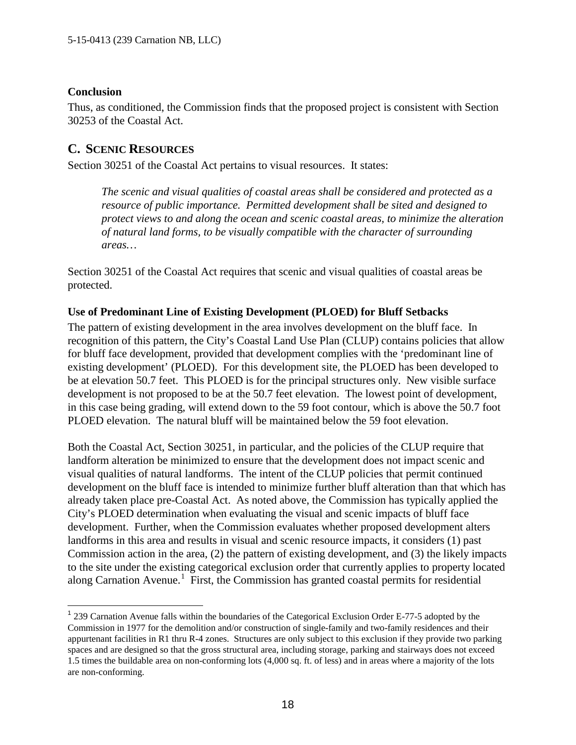#### <span id="page-26-0"></span>**Conclusion**

Thus, as conditioned, the Commission finds that the proposed project is consistent with Section 30253 of the Coastal Act.

## **C. SCENIC RESOURCES**

Section 30251 of the Coastal Act pertains to visual resources. It states:

*The scenic and visual qualities of coastal areas shall be considered and protected as a resource of public importance. Permitted development shall be sited and designed to protect views to and along the ocean and scenic coastal areas, to minimize the alteration of natural land forms, to be visually compatible with the character of surrounding areas…* 

Section 30251 of the Coastal Act requires that scenic and visual qualities of coastal areas be protected.

#### **Use of Predominant Line of Existing Development (PLOED) for Bluff Setbacks**

The pattern of existing development in the area involves development on the bluff face. In recognition of this pattern, the City's Coastal Land Use Plan (CLUP) contains policies that allow for bluff face development, provided that development complies with the 'predominant line of existing development' (PLOED). For this development site, the PLOED has been developed to be at elevation 50.7 feet. This PLOED is for the principal structures only. New visible surface development is not proposed to be at the 50.7 feet elevation. The lowest point of development, in this case being grading, will extend down to the 59 foot contour, which is above the 50.7 foot PLOED elevation. The natural bluff will be maintained below the 59 foot elevation.

Both the Coastal Act, Section 30251, in particular, and the policies of the CLUP require that landform alteration be minimized to ensure that the development does not impact scenic and visual qualities of natural landforms. The intent of the CLUP policies that permit continued development on the bluff face is intended to minimize further bluff alteration than that which has already taken place pre-Coastal Act. As noted above, the Commission has typically applied the City's PLOED determination when evaluating the visual and scenic impacts of bluff face development. Further, when the Commission evaluates whether proposed development alters landforms in this area and results in visual and scenic resource impacts, it considers (1) past Commission action in the area, (2) the pattern of existing development, and (3) the likely impacts to the site under the existing categorical exclusion order that currently applies to property located along Carnation Avenue.<sup>[1](#page-26-1)</sup> First, the Commission has granted coastal permits for residential

<span id="page-26-1"></span> <sup>1</sup> 239 Carnation Avenue falls within the boundaries of the Categorical Exclusion Order E-77-5 adopted by the Commission in 1977 for the demolition and/or construction of single-family and two-family residences and their appurtenant facilities in R1 thru R-4 zones. Structures are only subject to this exclusion if they provide two parking spaces and are designed so that the gross structural area, including storage, parking and stairways does not exceed 1.5 times the buildable area on non-conforming lots (4,000 sq. ft. of less) and in areas where a majority of the lots are non-conforming.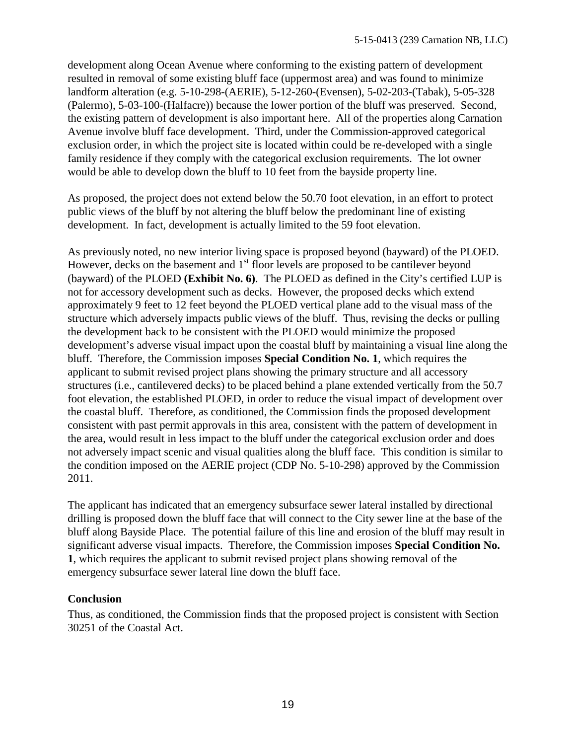development along Ocean Avenue where conforming to the existing pattern of development resulted in removal of some existing bluff face (uppermost area) and was found to minimize landform alteration (e.g. 5-10-298-(AERIE), 5-12-260-(Evensen), 5-02-203-(Tabak), 5-05-328 (Palermo), 5-03-100-(Halfacre)) because the lower portion of the bluff was preserved. Second, the existing pattern of development is also important here. All of the properties along Carnation Avenue involve bluff face development. Third, under the Commission-approved categorical exclusion order, in which the project site is located within could be re-developed with a single family residence if they comply with the categorical exclusion requirements. The lot owner would be able to develop down the bluff to 10 feet from the bayside property line.

As proposed, the project does not extend below the 50.70 foot elevation, in an effort to protect public views of the bluff by not altering the bluff below the predominant line of existing development. In fact, development is actually limited to the 59 foot elevation.

As previously noted, no new interior living space is proposed beyond (bayward) of the PLOED. However, decks on the basement and  $1<sup>st</sup>$  floor levels are proposed to be cantilever beyond (bayward) of the PLOED **(Exhibit No. 6)**. The PLOED as defined in the City's certified LUP is not for accessory development such as decks. However, the proposed decks which extend approximately 9 feet to 12 feet beyond the PLOED vertical plane add to the visual mass of the structure which adversely impacts public views of the bluff. Thus, revising the decks or pulling the development back to be consistent with the PLOED would minimize the proposed development's adverse visual impact upon the coastal bluff by maintaining a visual line along the bluff. Therefore, the Commission imposes **Special Condition No. 1**, which requires the applicant to submit revised project plans showing the primary structure and all accessory structures (i.e., cantilevered decks) to be placed behind a plane extended vertically from the 50.7 foot elevation, the established PLOED, in order to reduce the visual impact of development over the coastal bluff. Therefore, as conditioned, the Commission finds the proposed development consistent with past permit approvals in this area, consistent with the pattern of development in the area, would result in less impact to the bluff under the categorical exclusion order and does not adversely impact scenic and visual qualities along the bluff face. This condition is similar to the condition imposed on the AERIE project (CDP No. 5-10-298) approved by the Commission 2011.

The applicant has indicated that an emergency subsurface sewer lateral installed by directional drilling is proposed down the bluff face that will connect to the City sewer line at the base of the bluff along Bayside Place. The potential failure of this line and erosion of the bluff may result in significant adverse visual impacts. Therefore, the Commission imposes **Special Condition No. 1**, which requires the applicant to submit revised project plans showing removal of the emergency subsurface sewer lateral line down the bluff face.

#### **Conclusion**

Thus, as conditioned, the Commission finds that the proposed project is consistent with Section 30251 of the Coastal Act.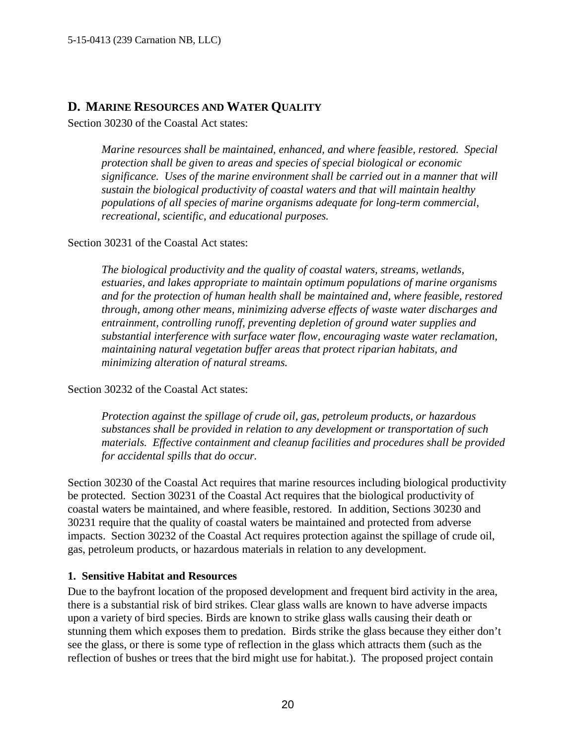# <span id="page-28-0"></span>**D. MARINE RESOURCES AND WATER QUALITY**

Section 30230 of the Coastal Act states:

*Marine resources shall be maintained, enhanced, and where feasible, restored. Special protection shall be given to areas and species of special biological or economic significance. Uses of the marine environment shall be carried out in a manner that will sustain the biological productivity of coastal waters and that will maintain healthy populations of all species of marine organisms adequate for long-term commercial, recreational, scientific, and educational purposes.* 

Section 30231 of the Coastal Act states:

*The biological productivity and the quality of coastal waters, streams, wetlands, estuaries, and lakes appropriate to maintain optimum populations of marine organisms and for the protection of human health shall be maintained and, where feasible, restored through, among other means, minimizing adverse effects of waste water discharges and entrainment, controlling runoff, preventing depletion of ground water supplies and substantial interference with surface water flow, encouraging waste water reclamation, maintaining natural vegetation buffer areas that protect riparian habitats, and minimizing alteration of natural streams.* 

Section 30232 of the Coastal Act states:

*Protection against the spillage of crude oil, gas, petroleum products, or hazardous substances shall be provided in relation to any development or transportation of such materials. Effective containment and cleanup facilities and procedures shall be provided for accidental spills that do occur.* 

Section 30230 of the Coastal Act requires that marine resources including biological productivity be protected. Section 30231 of the Coastal Act requires that the biological productivity of coastal waters be maintained, and where feasible, restored. In addition, Sections 30230 and 30231 require that the quality of coastal waters be maintained and protected from adverse impacts. Section 30232 of the Coastal Act requires protection against the spillage of crude oil, gas, petroleum products, or hazardous materials in relation to any development.

#### **1. Sensitive Habitat and Resources**

Due to the bayfront location of the proposed development and frequent bird activity in the area, there is a substantial risk of bird strikes. Clear glass walls are known to have adverse impacts upon a variety of bird species. Birds are known to strike glass walls causing their death or stunning them which exposes them to predation. Birds strike the glass because they either don't see the glass, or there is some type of reflection in the glass which attracts them (such as the reflection of bushes or trees that the bird might use for habitat.). The proposed project contain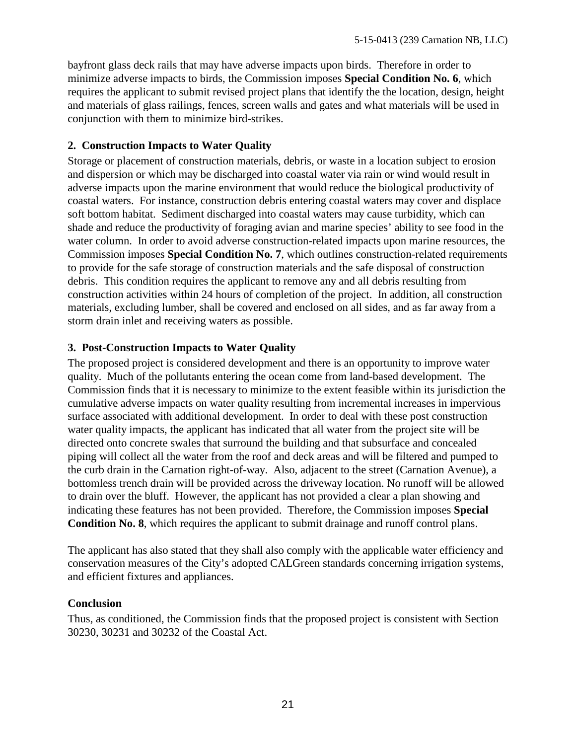bayfront glass deck rails that may have adverse impacts upon birds. Therefore in order to minimize adverse impacts to birds, the Commission imposes **Special Condition No. 6**, which requires the applicant to submit revised project plans that identify the the location, design, height and materials of glass railings, fences, screen walls and gates and what materials will be used in conjunction with them to minimize bird-strikes.

#### **2. Construction Impacts to Water Quality**

Storage or placement of construction materials, debris, or waste in a location subject to erosion and dispersion or which may be discharged into coastal water via rain or wind would result in adverse impacts upon the marine environment that would reduce the biological productivity of coastal waters. For instance, construction debris entering coastal waters may cover and displace soft bottom habitat. Sediment discharged into coastal waters may cause turbidity, which can shade and reduce the productivity of foraging avian and marine species' ability to see food in the water column. In order to avoid adverse construction-related impacts upon marine resources, the Commission imposes **Special Condition No. 7**, which outlines construction-related requirements to provide for the safe storage of construction materials and the safe disposal of construction debris. This condition requires the applicant to remove any and all debris resulting from construction activities within 24 hours of completion of the project. In addition, all construction materials, excluding lumber, shall be covered and enclosed on all sides, and as far away from a storm drain inlet and receiving waters as possible.

#### **3. Post-Construction Impacts to Water Quality**

The proposed project is considered development and there is an opportunity to improve water quality. Much of the pollutants entering the ocean come from land-based development. The Commission finds that it is necessary to minimize to the extent feasible within its jurisdiction the cumulative adverse impacts on water quality resulting from incremental increases in impervious surface associated with additional development. In order to deal with these post construction water quality impacts, the applicant has indicated that all water from the project site will be directed onto concrete swales that surround the building and that subsurface and concealed piping will collect all the water from the roof and deck areas and will be filtered and pumped to the curb drain in the Carnation right-of-way. Also, adjacent to the street (Carnation Avenue), a bottomless trench drain will be provided across the driveway location. No runoff will be allowed to drain over the bluff. However, the applicant has not provided a clear a plan showing and indicating these features has not been provided. Therefore, the Commission imposes **Special Condition No. 8**, which requires the applicant to submit drainage and runoff control plans.

The applicant has also stated that they shall also comply with the applicable water efficiency and conservation measures of the City's adopted CALGreen standards concerning irrigation systems, and efficient fixtures and appliances.

#### **Conclusion**

Thus, as conditioned, the Commission finds that the proposed project is consistent with Section 30230, 30231 and 30232 of the Coastal Act.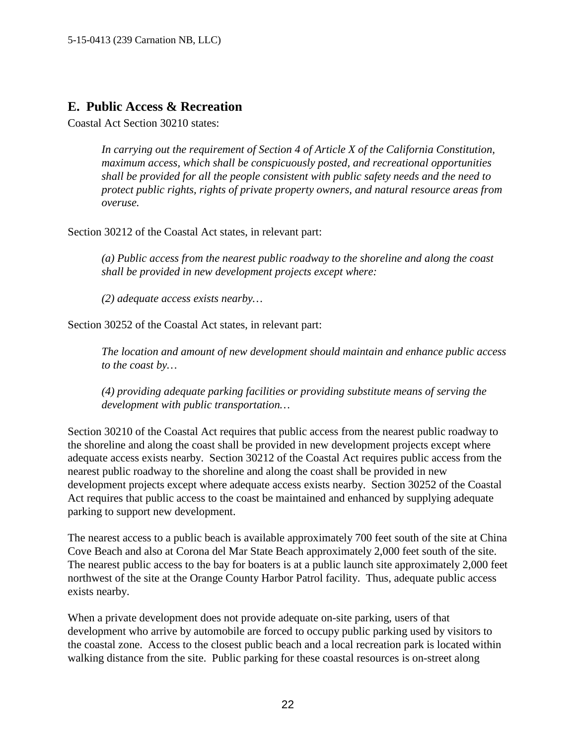# <span id="page-30-0"></span>**E. Public Access & Recreation**

Coastal Act Section 30210 states:

*In carrying out the requirement of Section 4 of Article X of the California Constitution, maximum access, which shall be conspicuously posted, and recreational opportunities shall be provided for all the people consistent with public safety needs and the need to protect public rights, rights of private property owners, and natural resource areas from overuse.*

Section 30212 of the Coastal Act states, in relevant part:

*(a) Public access from the nearest public roadway to the shoreline and along the coast shall be provided in new development projects except where:* 

*(2) adequate access exists nearby…* 

Section 30252 of the Coastal Act states, in relevant part:

*The location and amount of new development should maintain and enhance public access to the coast by…* 

*(4) providing adequate parking facilities or providing substitute means of serving the development with public transportation…* 

Section 30210 of the Coastal Act requires that public access from the nearest public roadway to the shoreline and along the coast shall be provided in new development projects except where adequate access exists nearby. Section 30212 of the Coastal Act requires public access from the nearest public roadway to the shoreline and along the coast shall be provided in new development projects except where adequate access exists nearby. Section 30252 of the Coastal Act requires that public access to the coast be maintained and enhanced by supplying adequate parking to support new development.

The nearest access to a public beach is available approximately 700 feet south of the site at China Cove Beach and also at Corona del Mar State Beach approximately 2,000 feet south of the site. The nearest public access to the bay for boaters is at a public launch site approximately 2,000 feet northwest of the site at the Orange County Harbor Patrol facility. Thus, adequate public access exists nearby.

When a private development does not provide adequate on-site parking, users of that development who arrive by automobile are forced to occupy public parking used by visitors to the coastal zone. Access to the closest public beach and a local recreation park is located within walking distance from the site. Public parking for these coastal resources is on-street along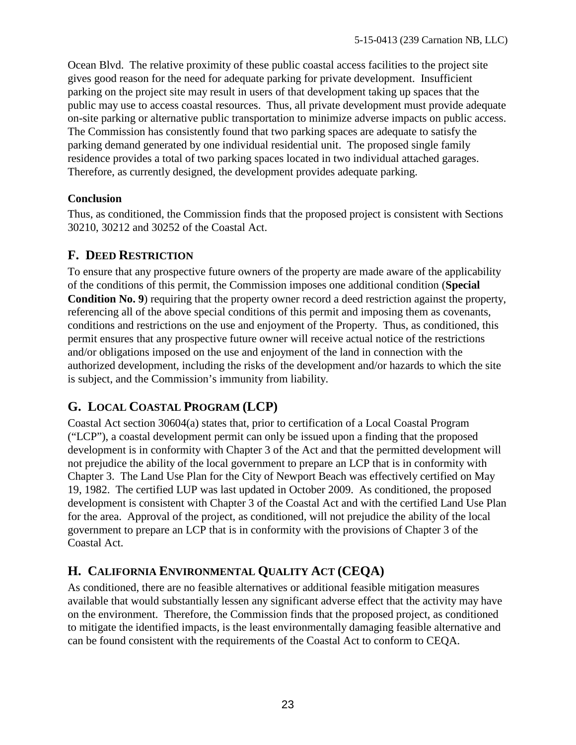<span id="page-31-0"></span>Ocean Blvd. The relative proximity of these public coastal access facilities to the project site gives good reason for the need for adequate parking for private development. Insufficient parking on the project site may result in users of that development taking up spaces that the public may use to access coastal resources. Thus, all private development must provide adequate on-site parking or alternative public transportation to minimize adverse impacts on public access. The Commission has consistently found that two parking spaces are adequate to satisfy the parking demand generated by one individual residential unit. The proposed single family residence provides a total of two parking spaces located in two individual attached garages. Therefore, as currently designed, the development provides adequate parking.

#### **Conclusion**

Thus, as conditioned, the Commission finds that the proposed project is consistent with Sections 30210, 30212 and 30252 of the Coastal Act.

# **F. DEED RESTRICTION**

To ensure that any prospective future owners of the property are made aware of the applicability of the conditions of this permit, the Commission imposes one additional condition (**Special Condition No. 9**) requiring that the property owner record a deed restriction against the property, referencing all of the above special conditions of this permit and imposing them as covenants, conditions and restrictions on the use and enjoyment of the Property. Thus, as conditioned, this permit ensures that any prospective future owner will receive actual notice of the restrictions and/or obligations imposed on the use and enjoyment of the land in connection with the authorized development, including the risks of the development and/or hazards to which the site is subject, and the Commission's immunity from liability.

# **G. LOCAL COASTAL PROGRAM (LCP)**

Coastal Act section 30604(a) states that, prior to certification of a Local Coastal Program ("LCP"), a coastal development permit can only be issued upon a finding that the proposed development is in conformity with Chapter 3 of the Act and that the permitted development will not prejudice the ability of the local government to prepare an LCP that is in conformity with Chapter 3. The Land Use Plan for the City of Newport Beach was effectively certified on May 19, 1982. The certified LUP was last updated in October 2009. As conditioned, the proposed development is consistent with Chapter 3 of the Coastal Act and with the certified Land Use Plan for the area. Approval of the project, as conditioned, will not prejudice the ability of the local government to prepare an LCP that is in conformity with the provisions of Chapter 3 of the Coastal Act.

# **H. CALIFORNIA ENVIRONMENTAL QUALITY ACT (CEQA)**

As conditioned, there are no feasible alternatives or additional feasible mitigation measures available that would substantially lessen any significant adverse effect that the activity may have on the environment. Therefore, the Commission finds that the proposed project, as conditioned to mitigate the identified impacts, is the least environmentally damaging feasible alternative and can be found consistent with the requirements of the Coastal Act to conform to CEQA.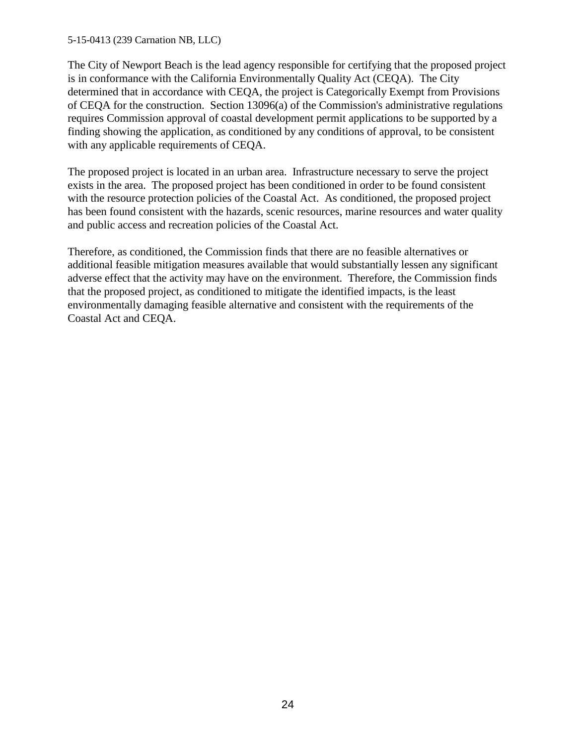#### 5-15-0413 (239 Carnation NB, LLC)

The City of Newport Beach is the lead agency responsible for certifying that the proposed project is in conformance with the California Environmentally Quality Act (CEQA). The City determined that in accordance with CEQA, the project is Categorically Exempt from Provisions of CEQA for the construction. Section 13096(a) of the Commission's administrative regulations requires Commission approval of coastal development permit applications to be supported by a finding showing the application, as conditioned by any conditions of approval, to be consistent with any applicable requirements of CEQA.

The proposed project is located in an urban area. Infrastructure necessary to serve the project exists in the area. The proposed project has been conditioned in order to be found consistent with the resource protection policies of the Coastal Act. As conditioned, the proposed project has been found consistent with the hazards, scenic resources, marine resources and water quality and public access and recreation policies of the Coastal Act.

Therefore, as conditioned, the Commission finds that there are no feasible alternatives or additional feasible mitigation measures available that would substantially lessen any significant adverse effect that the activity may have on the environment. Therefore, the Commission finds that the proposed project, as conditioned to mitigate the identified impacts, is the least environmentally damaging feasible alternative and consistent with the requirements of the Coastal Act and CEQA.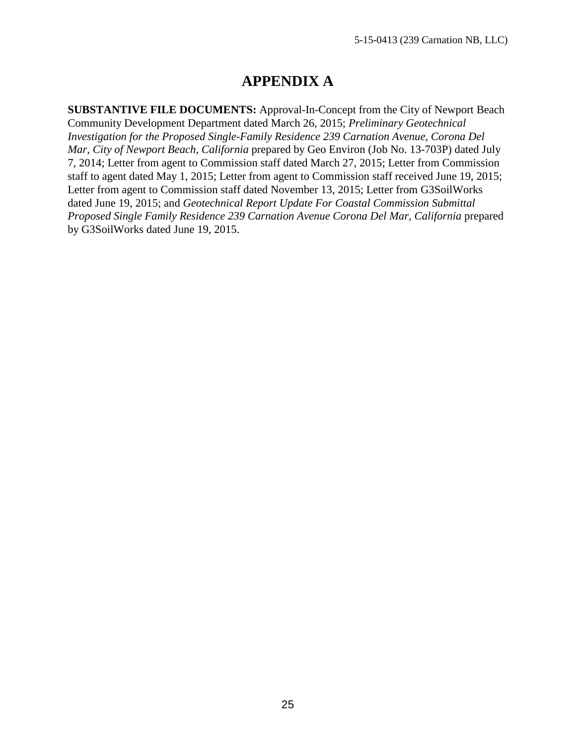# **APPENDIX A**

**SUBSTANTIVE FILE DOCUMENTS:** Approval-In-Concept from the City of Newport Beach Community Development Department dated March 26, 2015; *Preliminary Geotechnical Investigation for the Proposed Single-Family Residence 239 Carnation Avenue, Corona Del Mar, City of Newport Beach, California* prepared by Geo Environ (Job No. 13-703P) dated July 7, 2014; Letter from agent to Commission staff dated March 27, 2015; Letter from Commission staff to agent dated May 1, 2015; Letter from agent to Commission staff received June 19, 2015; Letter from agent to Commission staff dated November 13, 2015; Letter from G3SoilWorks dated June 19, 2015; and *Geotechnical Report Update For Coastal Commission Submittal Proposed Single Family Residence 239 Carnation Avenue Corona Del Mar, California* prepared by G3SoilWorks dated June 19, 2015.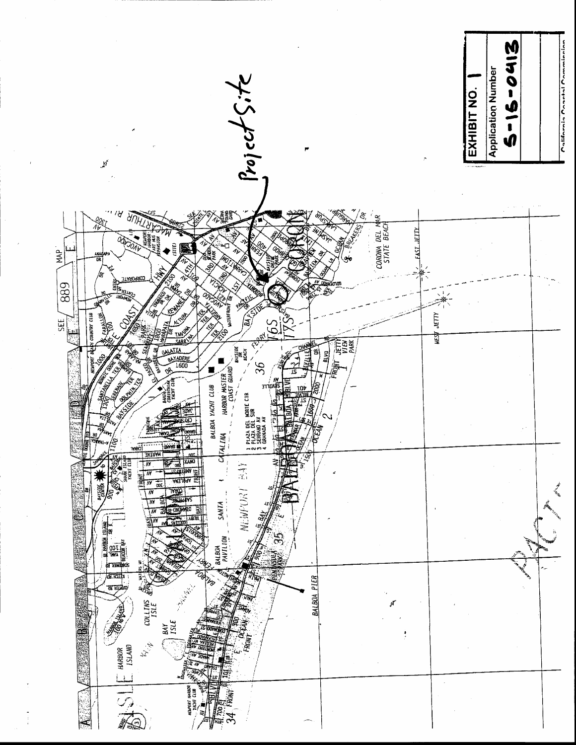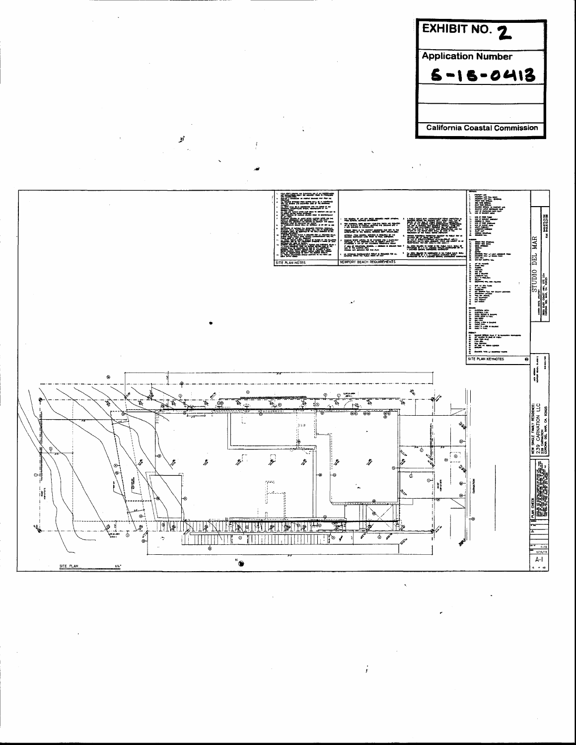



p

 $\dot{r}$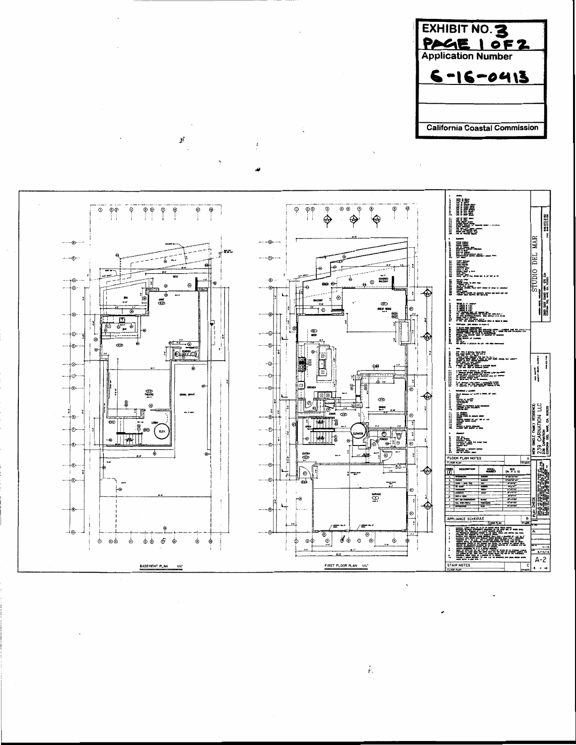



ý

ŀ.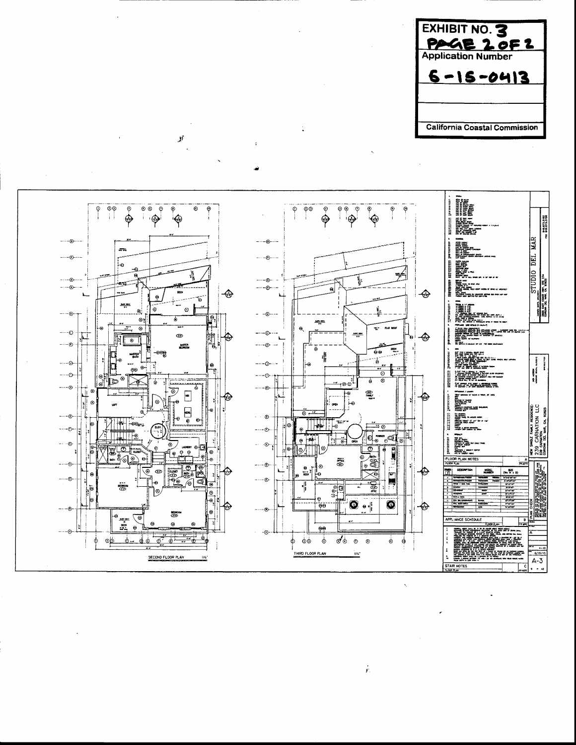EXHIBIT NO. 3 <u>PAGE 2 OF 2</u> **Application Number**  $6 - 15 - 0413$ **California Coastal Commission** 



y

ŀ.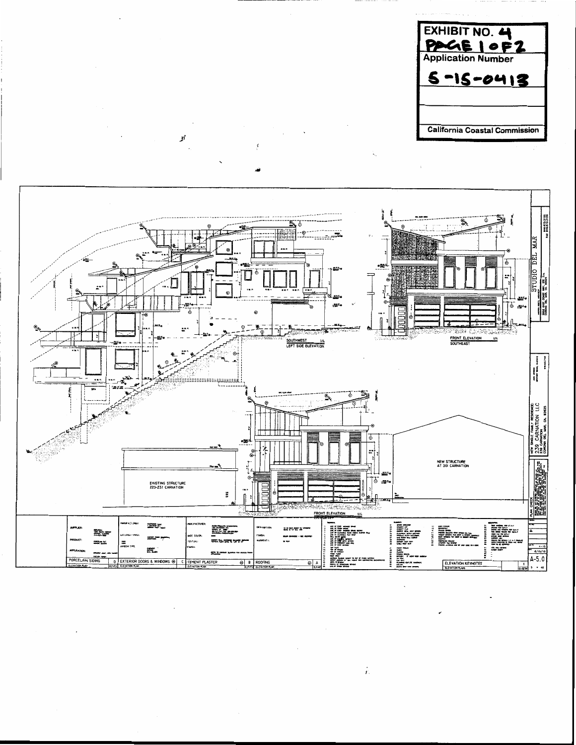



i.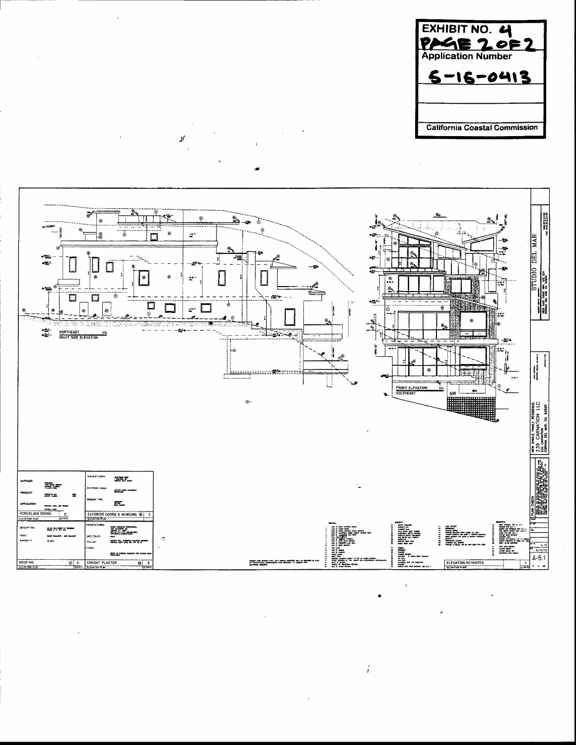



 $\mathbf{r}$ 

 $\dot{r}$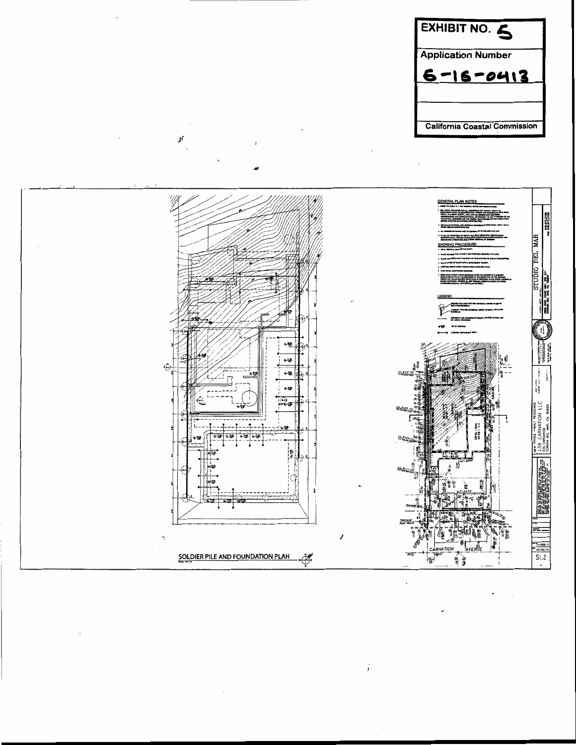



¥,